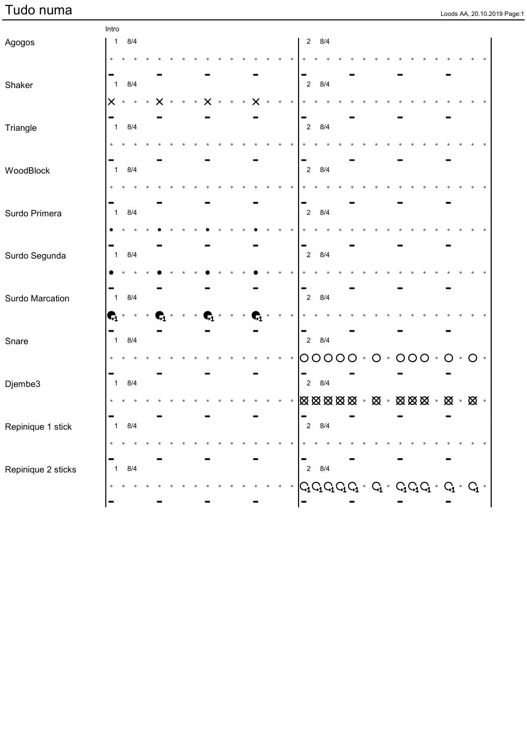Intro

| Agogos             |                  | $1 \t 8/4$ |  |  |  |  |  |  |  |                | $2 \quad 8/4$         |  |         |   |         |         |             |               |  |
|--------------------|------------------|------------|--|--|--|--|--|--|--|----------------|-----------------------|--|---------|---|---------|---------|-------------|---------------|--|
|                    |                  |            |  |  |  |  |  |  |  |                |                       |  |         |   |         |         |             |               |  |
|                    |                  |            |  |  |  |  |  |  |  |                |                       |  |         |   |         |         |             |               |  |
| Shaker             | $\overline{1}$   | 8/4        |  |  |  |  |  |  |  | $\overline{2}$ | 8/4                   |  |         |   |         |         |             |               |  |
|                    | $\times$         | $\bullet$  |  |  |  |  |  |  |  |                |                       |  |         |   |         |         |             |               |  |
| Triangle           | $\overline{1}$   | 8/4        |  |  |  |  |  |  |  | $\overline{2}$ | 8/4                   |  |         |   |         |         |             |               |  |
|                    |                  |            |  |  |  |  |  |  |  |                |                       |  |         |   |         |         |             |               |  |
|                    |                  |            |  |  |  |  |  |  |  |                |                       |  |         |   |         |         |             |               |  |
| WoodBlock          | $\mathbf{1}$     | 8/4        |  |  |  |  |  |  |  | $\overline{2}$ | 8/4                   |  |         |   |         |         |             |               |  |
|                    |                  |            |  |  |  |  |  |  |  |                |                       |  |         |   |         |         |             |               |  |
|                    |                  |            |  |  |  |  |  |  |  |                |                       |  |         |   |         |         |             |               |  |
| Surdo Primera      | $\overline{1}$   | 8/4        |  |  |  |  |  |  |  | $\overline{2}$ | 8/4                   |  |         |   |         |         |             |               |  |
|                    |                  |            |  |  |  |  |  |  |  |                |                       |  |         |   |         |         |             |               |  |
| Surdo Segunda      | $\overline{1}$   | 8/4        |  |  |  |  |  |  |  | $\overline{c}$ | 8/4                   |  |         |   |         |         |             |               |  |
|                    |                  |            |  |  |  |  |  |  |  |                |                       |  |         |   |         |         |             |               |  |
|                    |                  |            |  |  |  |  |  |  |  |                |                       |  |         |   |         |         |             |               |  |
| Surdo Marcation    | $\overline{1}$   | 8/4        |  |  |  |  |  |  |  | $\overline{2}$ | 8/4                   |  |         |   |         |         |             |               |  |
|                    | $\mathbf{G}_1$ . |            |  |  |  |  |  |  |  |                |                       |  |         |   |         |         |             |               |  |
|                    |                  |            |  |  |  |  |  |  |  |                |                       |  |         |   |         |         |             |               |  |
| Snare              | $\mathbf{1}$     | 8/4        |  |  |  |  |  |  |  | $\overline{2}$ | 8/4                   |  |         |   |         |         |             |               |  |
|                    |                  |            |  |  |  |  |  |  |  | O              | $\bigcirc$<br>$\circ$ |  | $\circ$ | O | $\circ$ | $\circ$ | $\circ$     | $\circ$       |  |
| Djembe3            | $\mathbf{1}$     | 8/4        |  |  |  |  |  |  |  | $\overline{2}$ | 8/4                   |  |         |   |         |         |             |               |  |
|                    |                  |            |  |  |  |  |  |  |  |                |                       |  |         |   |         |         | $\otimes$ . | $\boxtimes$ . |  |
|                    |                  |            |  |  |  |  |  |  |  | Ξ              |                       |  |         |   |         |         |             |               |  |
| Repinique 1 stick  | $\mathbf{1}$     | 8/4        |  |  |  |  |  |  |  | $\sqrt{2}$     | 8/4                   |  |         |   |         |         |             |               |  |
|                    |                  |            |  |  |  |  |  |  |  |                |                       |  |         |   |         |         |             |               |  |
|                    |                  |            |  |  |  |  |  |  |  |                |                       |  |         |   |         |         |             |               |  |
| Repinique 2 sticks | $\mathbf{1}$     | 8/4        |  |  |  |  |  |  |  | $\overline{2}$ | 8/4                   |  |         |   |         |         |             |               |  |
|                    |                  |            |  |  |  |  |  |  |  |                |                       |  |         |   |         |         |             |               |  |
|                    |                  |            |  |  |  |  |  |  |  |                |                       |  |         |   |         |         |             |               |  |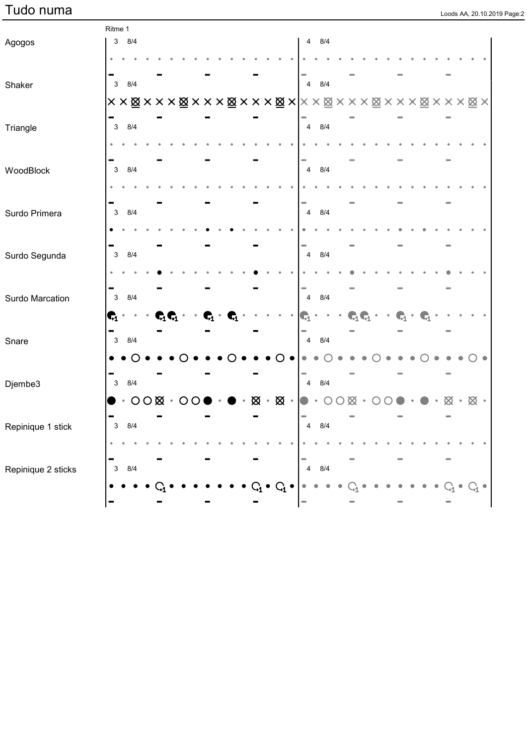|  |  | Loods AA, 20.10.2019 Page:2 |
|--|--|-----------------------------|

|                    | Ritme 1          |                        |  |                            |                |                |   |           |                |                |                         |                                           |                                           |  |              |           |           |  |                 |  |
|--------------------|------------------|------------------------|--|----------------------------|----------------|----------------|---|-----------|----------------|----------------|-------------------------|-------------------------------------------|-------------------------------------------|--|--------------|-----------|-----------|--|-----------------|--|
| Agogos             | $\mathbf{3}$     | 8/4                    |  |                            |                |                |   |           |                |                | 4                       | 8/4                                       |                                           |  |              |           |           |  |                 |  |
|                    |                  |                        |  |                            |                |                |   |           |                |                |                         |                                           |                                           |  |              |           |           |  |                 |  |
|                    |                  |                        |  |                            |                |                |   |           |                |                |                         |                                           |                                           |  |              |           |           |  |                 |  |
| Shaker             | $\mathbf{3}$     | 8/4                    |  |                            |                |                |   |           |                |                | $\overline{4}$          | 8/4                                       |                                           |  |              |           |           |  |                 |  |
|                    |                  |                        |  |                            |                |                |   |           |                |                |                         | <b>××⊠×××⊠×××⊠×××⊠× </b> ××⊠×××⊠×××⊠×××⊠× |                                           |  |              |           |           |  |                 |  |
| Triangle           | $\mathbf{3}$     | 8/4                    |  |                            |                |                |   |           |                |                |                         | 4 8/4                                     |                                           |  |              |           |           |  |                 |  |
|                    |                  |                        |  |                            |                |                |   |           |                |                |                         |                                           |                                           |  |              |           |           |  |                 |  |
| WoodBlock          | $\mathbf{3}$     | 8/4                    |  |                            |                |                |   |           |                |                | $\overline{4}$          | 8/4                                       |                                           |  |              |           |           |  |                 |  |
|                    |                  |                        |  |                            |                |                |   |           |                |                |                         |                                           |                                           |  |              |           |           |  |                 |  |
| Surdo Primera      | $\mathbf{3}$     | 8/4                    |  |                            |                |                |   |           |                |                | $\overline{4}$          | 8/4                                       |                                           |  |              |           |           |  |                 |  |
|                    |                  |                        |  |                            |                |                |   |           |                |                |                         |                                           |                                           |  |              |           |           |  |                 |  |
| Surdo Segunda      | $\mathbf{3}$     | 8/4                    |  |                            |                |                |   |           |                |                |                         | 4 8/4                                     |                                           |  |              |           |           |  |                 |  |
|                    |                  |                        |  |                            |                |                |   |           |                |                |                         |                                           |                                           |  |              |           |           |  |                 |  |
| Surdo Marcation    | $\mathbf{3}$     | 8/4                    |  |                            |                |                |   |           |                |                |                         | 4 8/4                                     |                                           |  |              |           |           |  |                 |  |
|                    | $\mathbf{G}_1$ . |                        |  | $\mathbf{C}_1\mathbf{C}_1$ | $\mathbf{G}_1$ | $\mathbf{G}_1$ |   |           |                | $\blacksquare$ | $\bullet$               | $\bullet$                                 | $\mathbf{C}_1\mathbf{C}_1\cdot\cdot\cdot$ |  | $\mathbb{C}$ | $\bullet$ | $\bullet$ |  |                 |  |
| Snare              | $\mathbf{3}$     | 8/4                    |  |                            |                |                |   |           |                |                |                         | 4 8/4                                     |                                           |  |              |           |           |  |                 |  |
|                    |                  |                        |  |                            |                |                |   |           |                |                |                         |                                           |                                           |  |              |           |           |  |                 |  |
| Djembe3            | $\mathbf{3}$     | 8/4                    |  |                            |                |                |   |           |                |                |                         | 4 8/4                                     |                                           |  |              |           |           |  |                 |  |
|                    |                  | $\cdot$ 000 $\cdot$ 00 |  |                            |                |                | Ø | $\bullet$ | $\otimes$ .    |                |                         | ∩                                         |                                           |  |              |           |           |  | $\otimes \cdot$ |  |
|                    |                  |                        |  |                            |                |                |   |           |                | $\equiv$       |                         |                                           |                                           |  |              |           |           |  |                 |  |
| Repinique 1 stick  | 3                | 8/4                    |  |                            |                |                |   |           |                |                | $\overline{\mathbf{4}}$ | 8/4                                       |                                           |  |              |           |           |  |                 |  |
|                    |                  |                        |  |                            |                |                |   |           |                |                |                         |                                           |                                           |  |              |           |           |  |                 |  |
| Repinique 2 sticks | $\mathbf{3}$     | 8/4                    |  |                            |                |                |   |           |                |                | $\overline{\mathbf{4}}$ | 8/4                                       |                                           |  |              |           |           |  |                 |  |
|                    |                  |                        |  |                            |                |                |   |           | $\mathrm{C}_1$ |                |                         |                                           |                                           |  |              |           |           |  |                 |  |
|                    |                  |                        |  |                            |                |                |   |           |                |                |                         |                                           |                                           |  |              |           |           |  |                 |  |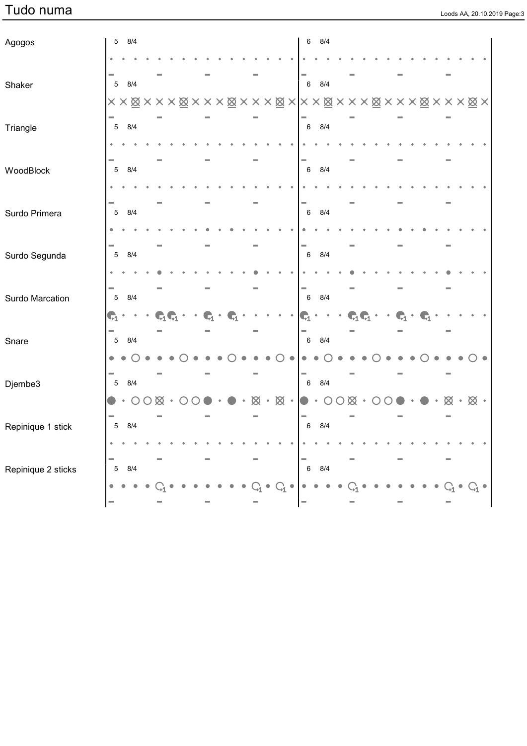|  |  | Loods AA. 20.10.2019 Page:3 |
|--|--|-----------------------------|

| Agogos             | $\,$ 5 $\,$     | 8/4       |                  |   |  |  |  |  |                               | 6              |           | 8/4              |             |                              |           |  |  |                 |                       |  |
|--------------------|-----------------|-----------|------------------|---|--|--|--|--|-------------------------------|----------------|-----------|------------------|-------------|------------------------------|-----------|--|--|-----------------|-----------------------|--|
|                    |                 |           |                  |   |  |  |  |  |                               |                |           |                  |             |                              |           |  |  |                 |                       |  |
| Shaker             | $\sqrt{5}$      | 8/4       |                  |   |  |  |  |  |                               | $\,6\,$        |           | 8/4              |             |                              |           |  |  |                 |                       |  |
|                    |                 |           |                  |   |  |  |  |  |                               |                |           |                  |             |                              |           |  |  |                 |                       |  |
| Triangle           | $5\phantom{.0}$ | 8/4       |                  |   |  |  |  |  |                               | $\,6\,$        |           | 8/4              |             |                              |           |  |  |                 |                       |  |
|                    |                 |           |                  |   |  |  |  |  |                               |                |           |                  |             |                              |           |  |  |                 |                       |  |
| WoodBlock          | $\overline{5}$  | 8/4       |                  |   |  |  |  |  |                               | $\,6\,$        |           | 8/4              |             |                              |           |  |  |                 |                       |  |
|                    |                 |           |                  |   |  |  |  |  |                               |                |           |                  |             |                              |           |  |  |                 |                       |  |
| Surdo Primera      | $\overline{5}$  | 8/4       |                  |   |  |  |  |  |                               | $\,6\,$        |           | 8/4              |             |                              |           |  |  |                 |                       |  |
|                    |                 |           |                  |   |  |  |  |  |                               |                |           |                  |             |                              |           |  |  |                 |                       |  |
| Surdo Segunda      | $\sqrt{5}$      | 8/4       |                  |   |  |  |  |  |                               | $\,6\,$        |           | 8/4              |             |                              |           |  |  |                 |                       |  |
|                    |                 |           |                  |   |  |  |  |  |                               |                |           |                  |             |                              |           |  |  |                 |                       |  |
| Surdo Marcation    | $5\phantom{.0}$ | 8/4       |                  |   |  |  |  |  |                               | $\,6\,$        |           | 8/4              |             |                              |           |  |  |                 |                       |  |
|                    | $\mathbf{G}_1$  |           |                  |   |  |  |  |  |                               | $\mathbf{G}_1$ |           |                  |             | $\mathbf{C}_1\mathbf{C}_1$ . |           |  |  |                 |                       |  |
| Snare              | $5\phantom{.0}$ | 8/4       |                  |   |  |  |  |  |                               | $\,6\,$        |           | 8/4              |             |                              |           |  |  |                 |                       |  |
|                    | $\bullet$       |           |                  |   |  |  |  |  |                               |                |           |                  |             |                              |           |  |  |                 |                       |  |
| Djembe3            | $5\phantom{.0}$ | 8/4       |                  |   |  |  |  |  |                               | $\,6\,$        |           | 8/4              |             |                              |           |  |  |                 |                       |  |
|                    |                 | $\cdot$ O | $\left( \right)$ | ⊠ |  |  |  |  | $\otimes \cdot \otimes \cdot$ |                | $\bullet$ | $\left( \right)$ | $\boxtimes$ |                              | $\cdot$ O |  |  | $\otimes \cdot$ | $\otimes \cdot$       |  |
| Repinique 1 stick  |                 | 5 8/4     |                  |   |  |  |  |  |                               | $\,6\,$        |           | 8/4              |             |                              |           |  |  |                 |                       |  |
|                    |                 |           |                  |   |  |  |  |  |                               |                |           |                  |             |                              |           |  |  |                 |                       |  |
| Repinique 2 sticks | $\overline{5}$  | 8/4       |                  |   |  |  |  |  |                               | $\,6\,$        |           | $8/4$            |             |                              |           |  |  |                 |                       |  |
|                    |                 |           |                  |   |  |  |  |  |                               |                |           |                  |             |                              |           |  |  |                 | $\mathrm{G}_1\bullet$ |  |
|                    | ш               |           |                  |   |  |  |  |  |                               |                |           |                  |             |                              |           |  |  |                 |                       |  |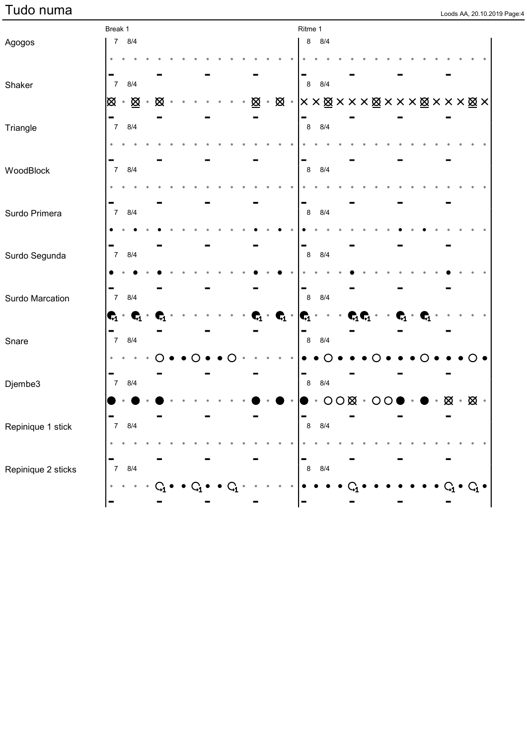### $Tudo \ numa$

| Loods AA, 20.10.2019 Page:4 |  |  |
|-----------------------------|--|--|

|                    | Break 1                           |       |     |   |  |  |  |   |                     |                                                  | Ritme 1                  |                                                                                                                        |                               |  |  |                                   |                                             |  |  |
|--------------------|-----------------------------------|-------|-----|---|--|--|--|---|---------------------|--------------------------------------------------|--------------------------|------------------------------------------------------------------------------------------------------------------------|-------------------------------|--|--|-----------------------------------|---------------------------------------------|--|--|
| Agogos             |                                   | 7 8/4 |     |   |  |  |  |   |                     |                                                  |                          | 8 8/4                                                                                                                  |                               |  |  |                                   |                                             |  |  |
|                    |                                   |       |     |   |  |  |  |   |                     |                                                  |                          |                                                                                                                        |                               |  |  |                                   |                                             |  |  |
| Shaker             | $\overline{7}$                    |       | 8/4 |   |  |  |  |   |                     |                                                  | $\bf 8$                  | 8/4                                                                                                                    |                               |  |  |                                   |                                             |  |  |
|                    | ∣⊗ ∗ <u>⊗</u>                     |       |     | ⊠ |  |  |  | ⊠ | $\hat{\phantom{a}}$ |                                                  |                          | $\boxtimes \cdot   \times \times \boxtimes \times \times \times \boxtimes \times \times \times \times \times \times  $ |                               |  |  |                                   |                                             |  |  |
| Triangle           | 7 8/4                             |       |     |   |  |  |  |   |                     |                                                  | $\bf 8$                  | 8/4                                                                                                                    |                               |  |  |                                   |                                             |  |  |
|                    |                                   |       |     |   |  |  |  |   |                     |                                                  |                          |                                                                                                                        |                               |  |  |                                   |                                             |  |  |
| WoodBlock          | 7 8/4                             |       |     |   |  |  |  |   |                     |                                                  | $\,8\,$                  | 8/4                                                                                                                    |                               |  |  |                                   |                                             |  |  |
|                    |                                   |       |     |   |  |  |  |   |                     |                                                  |                          |                                                                                                                        |                               |  |  |                                   |                                             |  |  |
| Surdo Primera      | $\overline{7}$                    | 8/4   |     |   |  |  |  |   |                     |                                                  | $\bf 8$                  | 8/4                                                                                                                    |                               |  |  |                                   |                                             |  |  |
|                    |                                   |       |     |   |  |  |  |   |                     |                                                  |                          |                                                                                                                        |                               |  |  |                                   |                                             |  |  |
| Surdo Segunda      | $\overline{7}$                    | 8/4   |     |   |  |  |  |   |                     |                                                  | $\bf 8$                  | 8/4                                                                                                                    |                               |  |  |                                   |                                             |  |  |
|                    |                                   |       |     |   |  |  |  |   |                     |                                                  |                          |                                                                                                                        |                               |  |  |                                   |                                             |  |  |
| Surdo Marcation    |                                   | 7 8/4 |     |   |  |  |  |   |                     |                                                  | -<br>$\bf 8$             | 8/4                                                                                                                    |                               |  |  |                                   |                                             |  |  |
|                    | $\mathbf{C}_1 \cdot \mathbf{C}_1$ |       |     |   |  |  |  |   |                     | $\mathbf{c}_{\!\!1}\cdot\mathbf{c}_{\!\!1}\cdot$ | $\vert_{\mathbb{C}_1}$   |                                                                                                                        | $\mathbf{C}_1 \mathbf{C}_1$ . |  |  | $\mathbf{C}_1 \cdot \mathbf{C}_1$ |                                             |  |  |
| Snare              |                                   | 7 8/4 |     |   |  |  |  |   |                     |                                                  | ▀<br>$\bf{8}$            | 8/4                                                                                                                    |                               |  |  |                                   |                                             |  |  |
|                    |                                   |       |     |   |  |  |  |   |                     |                                                  |                          |                                                                                                                        |                               |  |  |                                   |                                             |  |  |
| Djembe3            |                                   | 7 8/4 |     |   |  |  |  |   |                     |                                                  | -<br>$\bf8$              | 8/4                                                                                                                    |                               |  |  |                                   |                                             |  |  |
|                    |                                   |       |     |   |  |  |  |   |                     |                                                  |                          |                                                                                                                        | $OO$ $\otimes$ $\cdot$ $OO$   |  |  |                                   | $\cdot$ $\otimes$ $\cdot$ $\otimes$ $\cdot$ |  |  |
| Repinique 1 stick  | $\overline{7}$                    |       | 8/4 |   |  |  |  |   |                     |                                                  | ı —                      | 8 8/4                                                                                                                  |                               |  |  |                                   |                                             |  |  |
|                    |                                   |       |     |   |  |  |  |   |                     |                                                  |                          |                                                                                                                        |                               |  |  |                                   |                                             |  |  |
| Repinique 2 sticks | $\overline{7}$                    |       | 8/4 |   |  |  |  |   |                     |                                                  | -<br>$\bf8$              | $8/4\,$                                                                                                                |                               |  |  |                                   |                                             |  |  |
|                    |                                   |       |     |   |  |  |  |   |                     |                                                  |                          |                                                                                                                        |                               |  |  |                                   |                                             |  |  |
|                    |                                   |       |     |   |  |  |  |   |                     |                                                  | $\overline{\phantom{a}}$ |                                                                                                                        |                               |  |  |                                   |                                             |  |  |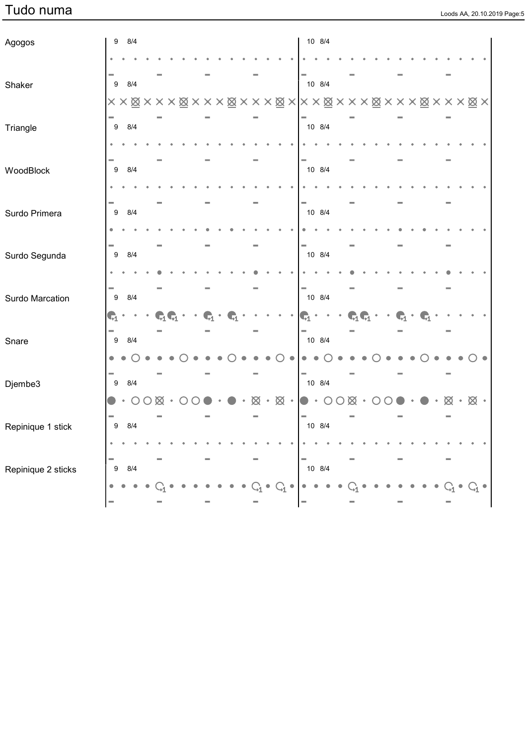### Tudo numa loods AA, 20.10.2019 Page is a lood of the set of the set of the set of the set of the set of the set of the set of the set of the set of the set of the set of the set of the set of the set of the set of the set

|  |  | Loods AA, 20.10.2019 Page:5 |
|--|--|-----------------------------|

| Agogos             | $\boldsymbol{9}$ |           | 8/4        |   |  |  |  |   |           |                 |                                                                                                            | 10 8/4 |     |           |  |  |  |             |             |  |
|--------------------|------------------|-----------|------------|---|--|--|--|---|-----------|-----------------|------------------------------------------------------------------------------------------------------------|--------|-----|-----------|--|--|--|-------------|-------------|--|
|                    |                  |           |            |   |  |  |  |   |           |                 |                                                                                                            |        |     |           |  |  |  |             |             |  |
| Shaker             | 9                |           | 8/4        |   |  |  |  |   |           |                 |                                                                                                            | 10 8/4 |     |           |  |  |  |             |             |  |
|                    |                  |           |            |   |  |  |  |   |           |                 |                                                                                                            |        |     |           |  |  |  |             |             |  |
| Triangle           | 9                |           | 8/4        |   |  |  |  |   |           |                 |                                                                                                            | 10 8/4 |     |           |  |  |  |             |             |  |
|                    |                  |           |            |   |  |  |  |   |           |                 |                                                                                                            |        |     |           |  |  |  |             |             |  |
| WoodBlock          | 9                |           | 8/4        |   |  |  |  |   |           |                 |                                                                                                            | 10 8/4 |     |           |  |  |  |             |             |  |
|                    |                  |           |            |   |  |  |  |   |           |                 |                                                                                                            |        |     |           |  |  |  |             |             |  |
| Surdo Primera      | $\boldsymbol{9}$ |           | 8/4        |   |  |  |  |   |           |                 |                                                                                                            | 10 8/4 |     |           |  |  |  |             |             |  |
|                    |                  |           |            |   |  |  |  |   |           |                 |                                                                                                            |        |     |           |  |  |  |             |             |  |
| Surdo Segunda      | $\boldsymbol{9}$ |           | 8/4        |   |  |  |  |   |           |                 |                                                                                                            | 10 8/4 |     |           |  |  |  |             |             |  |
|                    |                  |           |            |   |  |  |  |   |           |                 |                                                                                                            |        |     |           |  |  |  |             |             |  |
| Surdo Marcation    | 9                |           | 8/4        |   |  |  |  |   |           |                 |                                                                                                            | 10 8/4 |     |           |  |  |  |             |             |  |
|                    | $\mathbf{C}_1$   |           |            |   |  |  |  |   |           |                 | $\mathbf{G}_1$                                                                                             |        | Бł. | $\bullet$ |  |  |  |             |             |  |
| Snare              | 9                |           | 8/4        |   |  |  |  |   |           |                 |                                                                                                            | 10 8/4 |     |           |  |  |  |             |             |  |
|                    | 0                |           |            |   |  |  |  |   |           |                 |                                                                                                            |        |     |           |  |  |  |             |             |  |
| Djembe3            | 9                |           | 8/4        |   |  |  |  |   |           |                 |                                                                                                            | 10 8/4 |     |           |  |  |  |             |             |  |
|                    |                  | $\bullet$ | $\bigcirc$ | ⊠ |  |  |  | ∞ | $\bullet$ | $\otimes \cdot$ |                                                                                                            |        | Ø   |           |  |  |  | $\boxtimes$ | $\boxtimes$ |  |
| Repinique 1 stick  |                  | $9$ $8/4$ |            |   |  |  |  |   |           |                 |                                                                                                            | 10 8/4 |     |           |  |  |  |             |             |  |
|                    |                  |           |            |   |  |  |  |   |           |                 |                                                                                                            |        |     |           |  |  |  |             |             |  |
| Repinique 2 sticks | 9                |           | 8/4        |   |  |  |  |   |           |                 | $\begin{array}{c} \n\begin{array}{ccc} \n\end{array} & \n\begin{array}{ccc} \n\end{array} & \n\end{array}$ |        |     |           |  |  |  |             |             |  |
|                    |                  |           |            |   |  |  |  |   |           |                 |                                                                                                            |        |     |           |  |  |  |             |             |  |
|                    |                  |           |            |   |  |  |  |   |           |                 |                                                                                                            |        |     |           |  |  |  |             |             |  |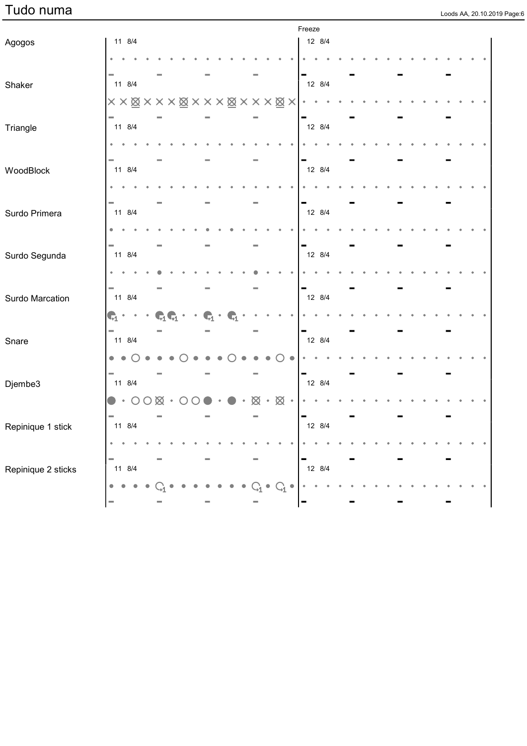|  | Loods AA, 20.10.2019 Page:6 |  |
|--|-----------------------------|--|

|                    |                                              |                    |        |   |                              |           |           |             |               |                                | Freeze |        |  |  |  |  |  |  |  |
|--------------------|----------------------------------------------|--------------------|--------|---|------------------------------|-----------|-----------|-------------|---------------|--------------------------------|--------|--------|--|--|--|--|--|--|--|
| Agogos             |                                              | 11 8/4             |        |   |                              |           |           |             |               |                                | 12 8/4 |        |  |  |  |  |  |  |  |
|                    |                                              |                    |        |   |                              |           |           |             |               |                                |        |        |  |  |  |  |  |  |  |
| Shaker             |                                              | 11 8/4             |        |   |                              |           |           |             |               |                                | 12 8/4 |        |  |  |  |  |  |  |  |
|                    |                                              |                    |        |   |                              |           |           |             |               |                                |        |        |  |  |  |  |  |  |  |
|                    |                                              |                    |        |   |                              |           |           |             |               |                                |        |        |  |  |  |  |  |  |  |
| Triangle           |                                              | 11 8/4             |        |   |                              |           |           |             |               |                                | 12 8/4 |        |  |  |  |  |  |  |  |
|                    |                                              |                    |        |   |                              |           |           |             |               |                                |        |        |  |  |  |  |  |  |  |
| WoodBlock          |                                              | 11 8/4             |        |   |                              |           |           |             |               |                                | 12 8/4 |        |  |  |  |  |  |  |  |
|                    |                                              |                    |        |   |                              |           |           |             |               |                                |        |        |  |  |  |  |  |  |  |
|                    |                                              |                    |        |   |                              |           |           |             |               |                                |        |        |  |  |  |  |  |  |  |
| Surdo Primera      |                                              | 11 8/4             |        |   |                              |           |           |             |               |                                | 12 8/4 |        |  |  |  |  |  |  |  |
|                    |                                              |                    |        |   |                              |           |           |             |               |                                |        |        |  |  |  |  |  |  |  |
| Surdo Segunda      |                                              | 11 8/4             |        |   |                              |           |           |             |               |                                | 12 8/4 |        |  |  |  |  |  |  |  |
|                    |                                              |                    |        |   |                              |           |           |             |               |                                |        |        |  |  |  |  |  |  |  |
|                    |                                              |                    |        |   |                              |           |           |             |               |                                |        |        |  |  |  |  |  |  |  |
| Surdo Marcation    |                                              | 11 8/4             |        |   |                              |           |           |             |               |                                | 12 8/4 |        |  |  |  |  |  |  |  |
|                    | $\mathbf{C}_1$ .                             |                    | $\sim$ |   | $\mathbf{C}_1\mathbf{C}_1$ . | $\bullet$ | $\bullet$ | $\bullet_1$ |               |                                |        |        |  |  |  |  |  |  |  |
| Snare              |                                              | 11 8/4             |        |   |                              |           |           |             |               |                                | 12 8/4 |        |  |  |  |  |  |  |  |
|                    | $\bullet\hspace{0.4mm}\bullet\hspace{0.4mm}$ |                    |        |   |                              |           |           |             |               |                                |        |        |  |  |  |  |  |  |  |
|                    |                                              |                    |        |   |                              |           |           |             |               |                                |        |        |  |  |  |  |  |  |  |
| Djembe3            |                                              | 11 8/4             |        |   |                              |           |           |             |               |                                | 12 8/4 |        |  |  |  |  |  |  |  |
|                    |                                              | $\bullet \cdot$ 00 |        | ⊠ |                              |           |           |             | $\boxtimes$ . | $\otimes \cdot$                |        |        |  |  |  |  |  |  |  |
|                    |                                              | 11 8/4             |        |   |                              |           |           |             |               |                                |        | 12 8/4 |  |  |  |  |  |  |  |
| Repinique 1 stick  | $\bullet$                                    |                    |        |   |                              |           |           |             |               |                                |        |        |  |  |  |  |  |  |  |
|                    |                                              |                    |        |   |                              |           |           |             |               |                                |        |        |  |  |  |  |  |  |  |
| Repinique 2 sticks |                                              | 11 8/4             |        |   |                              |           |           |             |               |                                |        | 12 8/4 |  |  |  |  |  |  |  |
|                    | $\bullet$                                    |                    |        |   |                              |           |           |             |               | $\rm{C}^{\phantom{\dagger}}_1$ |        |        |  |  |  |  |  |  |  |
|                    | ш                                            |                    |        |   |                              |           |           |             |               |                                | -      |        |  |  |  |  |  |  |  |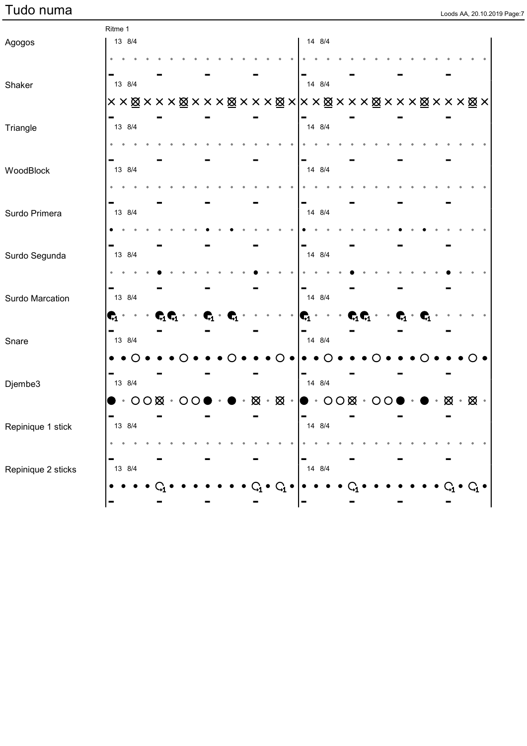|  |  | Loods AA, 20.10.2019 Page:7 |
|--|--|-----------------------------|

|                    | Ritme 1                 |                                   |  |                         |           |  |  |   |           |                |                |                |                              |  |  |  |   |    |  |
|--------------------|-------------------------|-----------------------------------|--|-------------------------|-----------|--|--|---|-----------|----------------|----------------|----------------|------------------------------|--|--|--|---|----|--|
| Agogos             |                         | 13 8/4                            |  |                         |           |  |  |   |           |                |                | 14 8/4         |                              |  |  |  |   |    |  |
|                    |                         |                                   |  |                         |           |  |  |   |           |                |                |                |                              |  |  |  |   |    |  |
|                    |                         | 13 8/4                            |  |                         |           |  |  |   |           |                |                | 14 8/4         |                              |  |  |  |   |    |  |
| Shaker             |                         |                                   |  |                         |           |  |  |   |           |                |                |                |                              |  |  |  |   |    |  |
|                    |                         | ××⊠×××⊠×××⊠×××⊠× ××⊠×××⊠×××⊠×××⊠× |  |                         |           |  |  |   |           |                |                |                |                              |  |  |  |   |    |  |
| Triangle           |                         | 13 8/4                            |  |                         |           |  |  |   |           |                |                | 14 8/4         |                              |  |  |  |   |    |  |
|                    |                         |                                   |  |                         |           |  |  |   |           |                |                |                |                              |  |  |  |   |    |  |
| WoodBlock          |                         | 13 8/4                            |  |                         |           |  |  |   |           |                |                | 14 8/4         |                              |  |  |  |   |    |  |
|                    |                         |                                   |  |                         |           |  |  |   |           |                |                |                |                              |  |  |  |   |    |  |
| Surdo Primera      |                         | 13 8/4                            |  |                         |           |  |  |   |           |                |                | 14 8/4         |                              |  |  |  |   |    |  |
|                    |                         |                                   |  |                         |           |  |  |   |           |                |                |                |                              |  |  |  |   |    |  |
| Surdo Segunda      |                         | 13 8/4                            |  |                         |           |  |  |   |           |                |                | 14 8/4         |                              |  |  |  |   |    |  |
|                    |                         |                                   |  |                         |           |  |  |   |           |                |                |                |                              |  |  |  |   |    |  |
| Surdo Marcation    |                         | 13 8/4                            |  |                         |           |  |  |   |           |                |                | 14 8/4         |                              |  |  |  |   |    |  |
|                    | $\mathbf{c}_\text{i}$ . |                                   |  | $\mathbf{C}^{\!\top\!}$ |           |  |  |   |           |                | $\mathbf{C}_1$ |                | $\mathbf{C}_1\mathbf{C}_1$ . |  |  |  |   |    |  |
| Snare              |                         | 13 8/4                            |  |                         |           |  |  |   |           |                |                | 14 8/4         |                              |  |  |  |   |    |  |
|                    |                         |                                   |  |                         |           |  |  |   |           |                |                |                |                              |  |  |  |   |    |  |
| Djembe3            |                         | 13 8/4                            |  |                         |           |  |  |   |           |                |                | 14 8/4         |                              |  |  |  |   |    |  |
|                    |                         | $\cdot$ OO $\otimes$ $\cdot$      |  |                         | $\bigcap$ |  |  | ⊠ | $\bullet$ | $\boxtimes$    |                | $OO@ \cdot CO$ |                              |  |  |  | Ø | ⊠⊸ |  |
| Repinique 1 stick  |                         | 13 8/4                            |  |                         |           |  |  |   |           |                |                | 14 8/4         |                              |  |  |  |   |    |  |
|                    |                         |                                   |  |                         |           |  |  |   |           |                |                |                |                              |  |  |  |   |    |  |
|                    |                         |                                   |  |                         |           |  |  |   |           |                |                |                |                              |  |  |  |   |    |  |
| Repinique 2 sticks |                         | 13 8/4                            |  |                         |           |  |  |   |           |                |                | 14 8/4         |                              |  |  |  |   |    |  |
|                    |                         |                                   |  |                         |           |  |  |   |           | $\mathbf{C}_1$ |                |                |                              |  |  |  |   |    |  |
|                    |                         |                                   |  |                         |           |  |  |   |           |                |                |                |                              |  |  |  |   |    |  |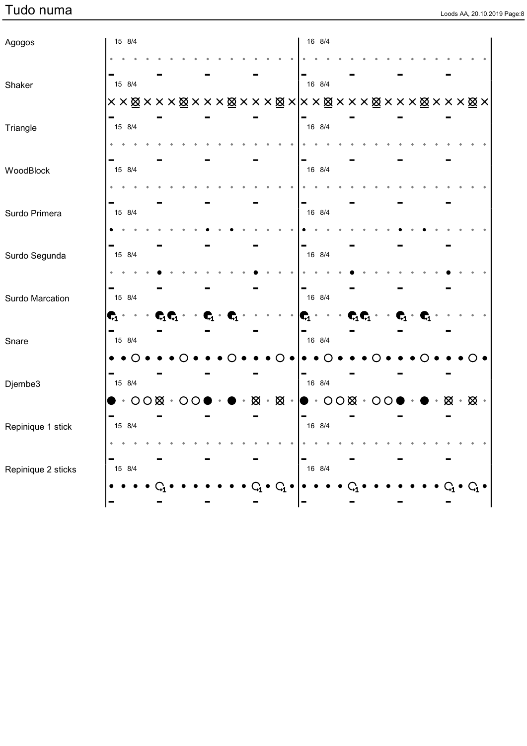|  |  | Loods AA, 20.10.2019 Page:8 |
|--|--|-----------------------------|

| Agogos             |                  | 15 8/4 |                               |  |                              |  |                |                                     |  |                  |                                                                                                       | 16 8/4 |  |                                                                                                      |  |  |                |  |                                                       |  |  |
|--------------------|------------------|--------|-------------------------------|--|------------------------------|--|----------------|-------------------------------------|--|------------------|-------------------------------------------------------------------------------------------------------|--------|--|------------------------------------------------------------------------------------------------------|--|--|----------------|--|-------------------------------------------------------|--|--|
|                    |                  |        |                               |  |                              |  |                |                                     |  |                  |                                                                                                       |        |  |                                                                                                      |  |  |                |  |                                                       |  |  |
| Shaker             |                  | 15 8/4 |                               |  |                              |  |                |                                     |  |                  |                                                                                                       | 16 8/4 |  |                                                                                                      |  |  |                |  |                                                       |  |  |
|                    |                  |        |                               |  |                              |  |                |                                     |  |                  | ××⊠×××⊠×××⊠×××⊠× ××⊠×××⊠×××⊠×××⊠×                                                                     |        |  |                                                                                                      |  |  |                |  |                                                       |  |  |
| Triangle           |                  | 15 8/4 |                               |  |                              |  |                |                                     |  |                  |                                                                                                       | 16 8/4 |  |                                                                                                      |  |  |                |  |                                                       |  |  |
|                    |                  |        |                               |  |                              |  |                |                                     |  |                  |                                                                                                       |        |  |                                                                                                      |  |  |                |  |                                                       |  |  |
| WoodBlock          |                  | 15 8/4 |                               |  |                              |  |                |                                     |  |                  |                                                                                                       | 16 8/4 |  |                                                                                                      |  |  |                |  |                                                       |  |  |
|                    |                  |        |                               |  |                              |  |                |                                     |  |                  |                                                                                                       |        |  |                                                                                                      |  |  |                |  |                                                       |  |  |
| Surdo Primera      |                  | 15 8/4 |                               |  |                              |  |                |                                     |  |                  |                                                                                                       | 16 8/4 |  |                                                                                                      |  |  |                |  |                                                       |  |  |
|                    |                  |        |                               |  |                              |  |                |                                     |  |                  |                                                                                                       |        |  |                                                                                                      |  |  |                |  |                                                       |  |  |
| Surdo Segunda      |                  | 15 8/4 |                               |  |                              |  |                |                                     |  |                  |                                                                                                       | 16 8/4 |  |                                                                                                      |  |  |                |  |                                                       |  |  |
|                    |                  |        |                               |  |                              |  |                |                                     |  |                  |                                                                                                       |        |  |                                                                                                      |  |  |                |  |                                                       |  |  |
| Surdo Marcation    |                  | 15 8/4 |                               |  |                              |  |                |                                     |  |                  |                                                                                                       | 16 8/4 |  |                                                                                                      |  |  |                |  |                                                       |  |  |
|                    | $\mathbf{C}_1$ . |        |                               |  | $\mathbf{C}_1\mathbf{C}_1$ . |  | $\mathbf{G}_1$ | $\mathbf{r}_{\scriptscriptstyle 1}$ |  |                  | $\vert \mathbf{C}_1$ .                                                                                |        |  | $\qquad \qquad \cdot \quad \textbf{C}_1 \textbf{C}_1 \qquad \qquad \textbf{C}_1 \qquad \textbf{C}_1$ |  |  |                |  |                                                       |  |  |
| Snare              |                  | 15 8/4 |                               |  |                              |  |                |                                     |  |                  |                                                                                                       | 16 8/4 |  |                                                                                                      |  |  |                |  |                                                       |  |  |
|                    |                  |        |                               |  |                              |  |                |                                     |  |                  |                                                                                                       |        |  |                                                                                                      |  |  |                |  |                                                       |  |  |
| Djembe3            |                  | 15 8/4 |                               |  |                              |  |                |                                     |  |                  |                                                                                                       | 16 8/4 |  |                                                                                                      |  |  |                |  |                                                       |  |  |
|                    |                  |        | $\bullet \cdot$ oox $\cdot$ o |  |                              |  |                |                                     |  |                  | $\boxtimes \cdot \boxtimes \cdot \, \vert \bullet \cdot \text{OO} \boxtimes \cdot \text{OO} \, \vert$ |        |  |                                                                                                      |  |  | $\blacksquare$ |  | $\bullet$ $\cdot$ $\otimes$ $\cdot$ $\otimes$ $\cdot$ |  |  |
| Repinique 1 stick  |                  | 15 8/4 |                               |  |                              |  |                |                                     |  |                  |                                                                                                       | 16 8/4 |  |                                                                                                      |  |  |                |  |                                                       |  |  |
|                    |                  |        |                               |  |                              |  |                |                                     |  |                  |                                                                                                       |        |  |                                                                                                      |  |  |                |  |                                                       |  |  |
| Repinique 2 sticks |                  | 15 8/4 |                               |  |                              |  |                |                                     |  |                  |                                                                                                       | 16 8/4 |  |                                                                                                      |  |  |                |  |                                                       |  |  |
|                    |                  |        |                               |  |                              |  |                |                                     |  | $\mathfrak{c}_1$ |                                                                                                       |        |  |                                                                                                      |  |  |                |  |                                                       |  |  |
|                    |                  |        |                               |  |                              |  |                |                                     |  |                  |                                                                                                       |        |  |                                                                                                      |  |  |                |  |                                                       |  |  |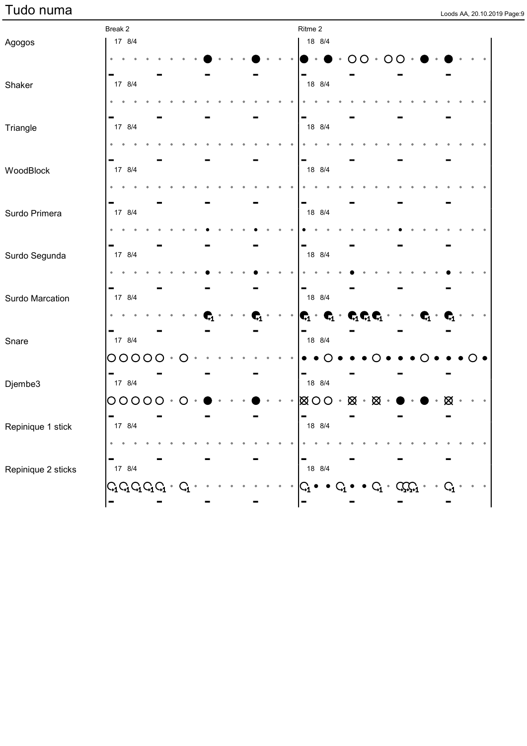| Loods AA, 20.10.2019 Page:9 |  |  |
|-----------------------------|--|--|

|                    | Break 2                  |  |  |  |  | Ritme 2                                                                                    |        |                             |                                  |                                  |   |  |
|--------------------|--------------------------|--|--|--|--|--------------------------------------------------------------------------------------------|--------|-----------------------------|----------------------------------|----------------------------------|---|--|
| Agogos             | 17 8/4                   |  |  |  |  |                                                                                            | 18 8/4 |                             |                                  |                                  |   |  |
|                    |                          |  |  |  |  |                                                                                            |        | ( )                         | $\left( \right)$                 |                                  |   |  |
| Shaker             | 17 8/4                   |  |  |  |  |                                                                                            | 18 8/4 |                             |                                  |                                  |   |  |
|                    |                          |  |  |  |  |                                                                                            |        |                             |                                  |                                  |   |  |
| Triangle           | 17 8/4                   |  |  |  |  |                                                                                            | 18 8/4 |                             |                                  |                                  |   |  |
|                    |                          |  |  |  |  |                                                                                            |        |                             |                                  |                                  |   |  |
| WoodBlock          | 17 8/4                   |  |  |  |  |                                                                                            | 18 8/4 |                             |                                  |                                  |   |  |
|                    |                          |  |  |  |  |                                                                                            |        |                             |                                  |                                  |   |  |
| Surdo Primera      | 17 8/4                   |  |  |  |  |                                                                                            | 18 8/4 |                             |                                  |                                  |   |  |
|                    |                          |  |  |  |  |                                                                                            |        |                             |                                  |                                  |   |  |
| Surdo Segunda      | 17 8/4                   |  |  |  |  | -                                                                                          | 18 8/4 |                             |                                  |                                  |   |  |
|                    |                          |  |  |  |  |                                                                                            |        |                             |                                  |                                  |   |  |
| Surdo Marcation    | 17 8/4                   |  |  |  |  | -                                                                                          | 18 8/4 |                             |                                  |                                  |   |  |
|                    |                          |  |  |  |  | $\vert \mathbf{C}_1 \cdot \mathbf{C}_1 \cdot \mathbf{C}_1 \mathbf{C}_1 \mathbf{C}_1 \vert$ |        |                             |                                  | $\mathbf{\mathbf{\mathsf{G}}}_1$ |   |  |
| Snare              | 17 8/4                   |  |  |  |  | -                                                                                          | 18 8/4 |                             |                                  |                                  |   |  |
|                    | 00000                    |  |  |  |  |                                                                                            |        |                             |                                  |                                  |   |  |
| Djembe3            | 17 8/4                   |  |  |  |  |                                                                                            | 18 8/4 |                             |                                  |                                  |   |  |
|                    | $00000$                  |  |  |  |  | $\boxtimes$ OO $\triangle$                                                                 |        | $\boxtimes \cdot \boxtimes$ |                                  |                                  | ∞ |  |
| Repinique 1 stick  | $\blacksquare$<br>17 8/4 |  |  |  |  | $\blacksquare$                                                                             | 18 8/4 |                             |                                  |                                  |   |  |
|                    |                          |  |  |  |  |                                                                                            |        |                             |                                  |                                  |   |  |
| Repinique 2 sticks | 17 8/4                   |  |  |  |  |                                                                                            | 18 8/4 |                             |                                  |                                  |   |  |
|                    | $C_1$ $C_1$ $C_1$ $C_1$  |  |  |  |  | $\mathbb{G}_1$                                                                             |        |                             | $\bullet$ $C_1 \bullet$ $C_2C_1$ |                                  |   |  |
|                    |                          |  |  |  |  | -                                                                                          |        |                             |                                  |                                  |   |  |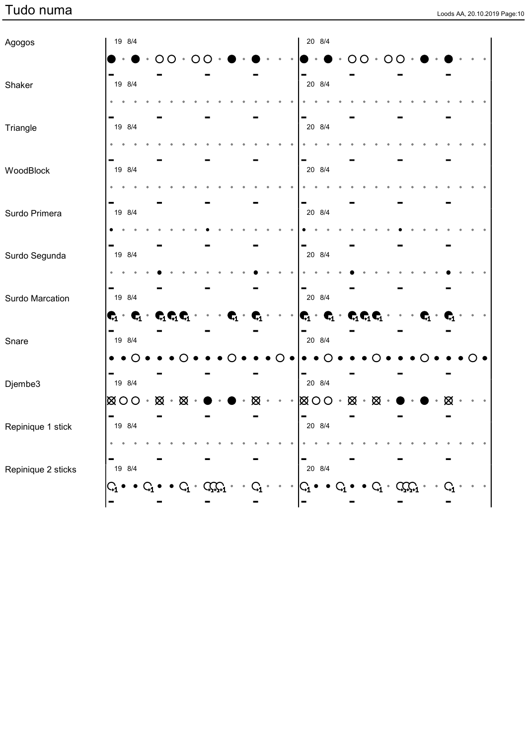|  |  | Loods AA, 20.10.2019 Page:10 |
|--|--|------------------------------|

| Agogos             | 19 8/4                                                            |  |     |                |   | 20 8/4                  |                                                                                                                 |                       |                            |  |  |
|--------------------|-------------------------------------------------------------------|--|-----|----------------|---|-------------------------|-----------------------------------------------------------------------------------------------------------------|-----------------------|----------------------------|--|--|
|                    |                                                                   |  | ( ) |                |   |                         | O                                                                                                               | $\Omega$<br>$\bullet$ |                            |  |  |
| Shaker             | 19 8/4                                                            |  |     |                |   | 20 8/4                  |                                                                                                                 |                       |                            |  |  |
|                    |                                                                   |  |     |                |   |                         |                                                                                                                 |                       |                            |  |  |
| Triangle           | 19 8/4                                                            |  |     |                |   | 20 8/4                  |                                                                                                                 |                       |                            |  |  |
|                    |                                                                   |  |     |                |   |                         |                                                                                                                 |                       |                            |  |  |
| WoodBlock          | 19 8/4                                                            |  |     |                |   | 20 8/4                  |                                                                                                                 |                       |                            |  |  |
|                    |                                                                   |  |     |                |   |                         |                                                                                                                 |                       |                            |  |  |
| Surdo Primera      | 19 8/4                                                            |  |     |                |   | 20 8/4                  |                                                                                                                 |                       |                            |  |  |
|                    |                                                                   |  |     |                |   |                         |                                                                                                                 |                       |                            |  |  |
| Surdo Segunda      | 19 8/4                                                            |  |     |                |   | 20 8/4                  |                                                                                                                 |                       |                            |  |  |
|                    |                                                                   |  |     |                |   |                         |                                                                                                                 |                       |                            |  |  |
| Surdo Marcation    | 19 8/4                                                            |  |     |                |   | 20 8/4                  |                                                                                                                 |                       |                            |  |  |
|                    | $\mathbf{C}_1 \cdot \mathbf{C}_1 \cdot \mathbf{C}_1 \mathbf{C}_1$ |  |     | $\mathbf{G}_1$ |   |                         | $\begin{bmatrix} \mathbf{C}_1 & \mathbf{C}_1 & \mathbf{C}_1 \mathbf{C}_1 & \cdots & \mathbf{C}_n \end{bmatrix}$ |                       | $\bullet$ $\blacksquare_1$ |  |  |
| Snare              | 19 8/4                                                            |  |     |                |   | 20 8/4                  |                                                                                                                 |                       |                            |  |  |
|                    |                                                                   |  |     |                |   |                         |                                                                                                                 |                       |                            |  |  |
| Djembe3            | 19 8/4                                                            |  |     |                |   | 20 8/4                  |                                                                                                                 |                       |                            |  |  |
|                    | $ \boxtimes$ 00 $\cdot$ $ \boxtimes \cdot $ $\otimes$             |  |     |                | ∞ |                         | $\boxtimes$ 00 $\cdot$ $\boxtimes$ $\cdot$ $\boxtimes$ $\cdot$                                                  |                       |                            |  |  |
| Repinique 1 stick  | 19 8/4                                                            |  |     |                |   | 20 8/4                  |                                                                                                                 |                       |                            |  |  |
|                    |                                                                   |  |     |                |   |                         |                                                                                                                 |                       |                            |  |  |
| Repinique 2 sticks | 19 8/4                                                            |  |     |                |   | ▬<br>20 8/4             |                                                                                                                 |                       |                            |  |  |
|                    | $\varsigma_{\scriptscriptstyle 1}$                                |  |     |                |   | $\mathsf{G}_\mathbf{1}$ |                                                                                                                 | $Q_1$ .               |                            |  |  |
|                    |                                                                   |  |     |                |   |                         |                                                                                                                 |                       |                            |  |  |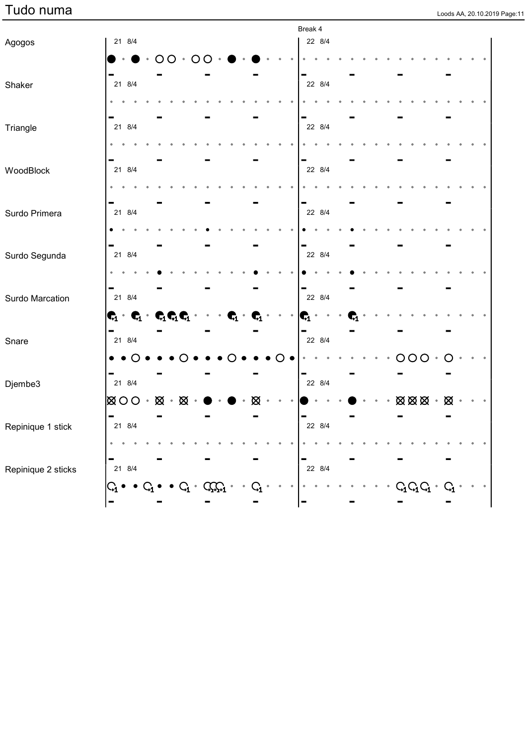| Loods AA, 20.10.2019 Page:11 |  |
|------------------------------|--|

|                    |                                                                                                        |   |                |           |     |                |  | Break 4        |        |  |           |    |                                             |         |  |  |
|--------------------|--------------------------------------------------------------------------------------------------------|---|----------------|-----------|-----|----------------|--|----------------|--------|--|-----------|----|---------------------------------------------|---------|--|--|
| Agogos             | 21 8/4                                                                                                 |   |                |           |     |                |  |                | 22 8/4 |  |           |    |                                             |         |  |  |
|                    |                                                                                                        | Ω | ∩              | ( )       |     |                |  |                |        |  |           |    |                                             |         |  |  |
|                    |                                                                                                        |   |                |           |     |                |  |                |        |  |           |    |                                             |         |  |  |
| Shaker             | 21 8/4                                                                                                 |   |                |           |     |                |  |                | 22 8/4 |  |           |    |                                             |         |  |  |
|                    |                                                                                                        |   |                |           |     |                |  |                |        |  |           |    |                                             |         |  |  |
| Triangle           | 21 8/4                                                                                                 |   |                |           |     |                |  |                | 22 8/4 |  |           |    |                                             |         |  |  |
|                    |                                                                                                        |   |                |           |     |                |  |                |        |  |           |    |                                             |         |  |  |
|                    |                                                                                                        |   |                |           |     |                |  |                |        |  |           |    |                                             |         |  |  |
| WoodBlock          | 21 8/4                                                                                                 |   |                |           |     |                |  |                | 22 8/4 |  |           |    |                                             |         |  |  |
|                    |                                                                                                        |   |                |           |     |                |  |                |        |  |           |    |                                             |         |  |  |
|                    |                                                                                                        |   |                |           |     |                |  |                |        |  |           |    |                                             |         |  |  |
| Surdo Primera      | 21 8/4                                                                                                 |   |                |           |     |                |  |                | 22 8/4 |  |           |    |                                             |         |  |  |
|                    |                                                                                                        |   |                |           |     |                |  |                |        |  |           |    |                                             |         |  |  |
| Surdo Segunda      | 21 8/4                                                                                                 |   |                |           |     |                |  |                | 22 8/4 |  |           |    |                                             |         |  |  |
|                    |                                                                                                        |   |                |           |     |                |  |                |        |  |           |    |                                             |         |  |  |
|                    |                                                                                                        |   |                |           |     |                |  |                |        |  |           |    |                                             |         |  |  |
| Surdo Marcation    | 21 8/4                                                                                                 |   |                |           |     |                |  |                | 22 8/4 |  |           |    |                                             |         |  |  |
|                    | $\begin{bmatrix} \mathbf{C}_1 & \mathbf{C}_1 & \mathbf{C}_1 \mathbf{C}_1 & \mathbf{C}_1 \end{bmatrix}$ |   |                |           |     | $\mathbf{G}_1$ |  | $\mathbf{G}_1$ |        |  |           |    |                                             |         |  |  |
|                    |                                                                                                        |   |                |           |     |                |  |                |        |  |           |    |                                             |         |  |  |
| Snare              | 21 8/4                                                                                                 |   |                |           |     |                |  |                | 22 8/4 |  |           |    |                                             |         |  |  |
|                    |                                                                                                        |   |                |           |     |                |  |                |        |  |           | OO | O                                           |         |  |  |
| Djembe3            | 21 8/4                                                                                                 |   |                |           |     |                |  |                | 22 8/4 |  |           |    |                                             |         |  |  |
|                    | $\otimes$ $\otimes$ $\circ$                                                                            |   | ⊠              |           |     |                |  |                |        |  |           |    | $\otimes \otimes \otimes$                   | ⊠       |  |  |
|                    | $\blacksquare$                                                                                         |   |                |           |     |                |  |                |        |  |           |    |                                             |         |  |  |
| Repinique 1 stick  | 21 8/4                                                                                                 |   |                |           |     |                |  |                | 22 8/4 |  |           |    |                                             |         |  |  |
|                    | ۰                                                                                                      |   |                |           |     |                |  |                |        |  |           |    |                                             |         |  |  |
|                    | ۰                                                                                                      |   |                |           |     |                |  |                |        |  |           |    |                                             |         |  |  |
| Repinique 2 sticks | 21 8/4                                                                                                 |   |                |           |     |                |  |                | 22 8/4 |  |           |    |                                             |         |  |  |
|                    |                                                                                                        |   | $\mathrm{G}_1$ | $\bullet$ | CCC |                |  | ٠              |        |  | $\bullet$ |    | $\mathcal{C}_1\mathcal{C}_1\mathcal{C}_1$ . | $\rm G$ |  |  |
|                    |                                                                                                        |   |                |           |     |                |  |                |        |  |           |    |                                             |         |  |  |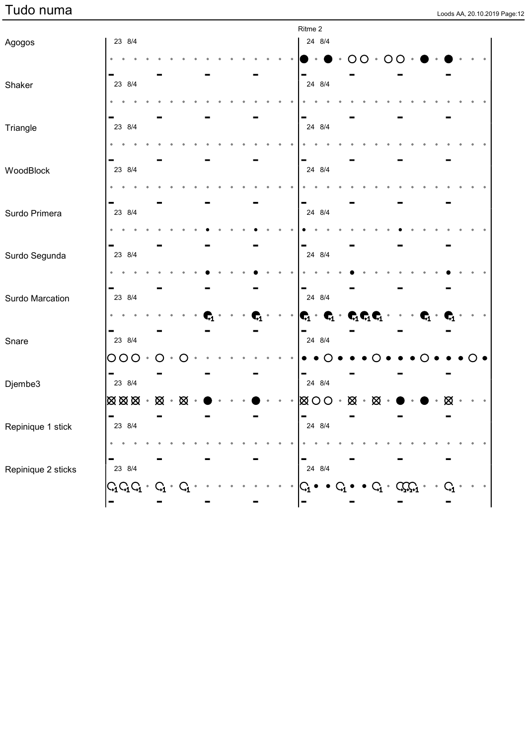| Loods AA, 20.10.2019 Page:12 |  |  |
|------------------------------|--|--|

|                    |                                                       |         |             |  |  |    |  | Ritme 2                 |                                                                                                                                                                                                                                                                                                                                                                                                                                          |               |                   |         |                                   |                |   |  |  |
|--------------------|-------------------------------------------------------|---------|-------------|--|--|----|--|-------------------------|------------------------------------------------------------------------------------------------------------------------------------------------------------------------------------------------------------------------------------------------------------------------------------------------------------------------------------------------------------------------------------------------------------------------------------------|---------------|-------------------|---------|-----------------------------------|----------------|---|--|--|
| Agogos             | 23 8/4                                                |         |             |  |  |    |  |                         | 24 8/4                                                                                                                                                                                                                                                                                                                                                                                                                                   |               |                   |         |                                   |                |   |  |  |
|                    |                                                       |         |             |  |  |    |  |                         |                                                                                                                                                                                                                                                                                                                                                                                                                                          |               | $\circ$ O $\circ$ | $\circ$ | $\bigcap$                         |                |   |  |  |
| Shaker             | 23 8/4                                                |         |             |  |  |    |  |                         | 24 8/4                                                                                                                                                                                                                                                                                                                                                                                                                                   |               |                   |         |                                   |                |   |  |  |
|                    |                                                       |         |             |  |  |    |  |                         |                                                                                                                                                                                                                                                                                                                                                                                                                                          |               |                   |         |                                   |                |   |  |  |
| Triangle           | 23 8/4                                                |         |             |  |  |    |  |                         | 24 8/4                                                                                                                                                                                                                                                                                                                                                                                                                                   |               |                   |         |                                   |                |   |  |  |
|                    |                                                       |         |             |  |  |    |  |                         |                                                                                                                                                                                                                                                                                                                                                                                                                                          |               |                   |         |                                   |                |   |  |  |
| WoodBlock          | 23 8/4                                                |         |             |  |  |    |  |                         | 24 8/4                                                                                                                                                                                                                                                                                                                                                                                                                                   |               |                   |         |                                   |                |   |  |  |
|                    |                                                       |         |             |  |  |    |  |                         |                                                                                                                                                                                                                                                                                                                                                                                                                                          |               |                   |         |                                   |                |   |  |  |
| Surdo Primera      | 23 8/4                                                |         |             |  |  |    |  |                         | 24 8/4                                                                                                                                                                                                                                                                                                                                                                                                                                   |               |                   |         |                                   |                |   |  |  |
|                    |                                                       |         |             |  |  |    |  |                         |                                                                                                                                                                                                                                                                                                                                                                                                                                          |               |                   |         |                                   |                |   |  |  |
| Surdo Segunda      | 23 8/4                                                |         |             |  |  |    |  |                         | 24 8/4                                                                                                                                                                                                                                                                                                                                                                                                                                   |               |                   |         |                                   |                |   |  |  |
|                    |                                                       |         |             |  |  |    |  |                         |                                                                                                                                                                                                                                                                                                                                                                                                                                          |               |                   |         |                                   |                |   |  |  |
| Surdo Marcation    | 23 8/4                                                |         |             |  |  |    |  |                         | 24 8/4                                                                                                                                                                                                                                                                                                                                                                                                                                   |               |                   |         |                                   |                |   |  |  |
|                    |                                                       |         |             |  |  | г, |  |                         | $\begin{array}{ccccccccc} \mathbf{C}_1 & \mathbf{C}_1 & \mathbf{C}_1 & \mathbf{C}_1 & \mathbf{C}_2 & \mathbf{C}_1 & \mathbf{C}_2 & \mathbf{C}_2 & \mathbf{C}_2 & \mathbf{C}_2 & \mathbf{C}_2 & \mathbf{C}_2 & \mathbf{C}_2 & \mathbf{C}_2 & \mathbf{C}_2 & \mathbf{C}_2 & \mathbf{C}_2 & \mathbf{C}_2 & \mathbf{C}_2 & \mathbf{C}_2 & \mathbf{C}_2 & \mathbf{C}_2 & \mathbf{C}_2 & \mathbf{C}_2 & \mathbf{C}_2 & \mathbf{C}_2 & \mathbf$ |               |                   |         |                                   | $\mathbf{G}_1$ |   |  |  |
| Snare              | 23 8/4                                                |         |             |  |  |    |  | -                       | 24 8/4                                                                                                                                                                                                                                                                                                                                                                                                                                   |               |                   |         |                                   |                |   |  |  |
|                    | 000                                                   |         |             |  |  |    |  |                         |                                                                                                                                                                                                                                                                                                                                                                                                                                          |               |                   |         |                                   |                |   |  |  |
| Djembe3            | 23 8/4                                                |         |             |  |  |    |  | -                       | 24 8/4                                                                                                                                                                                                                                                                                                                                                                                                                                   |               |                   |         |                                   |                |   |  |  |
|                    | $\boxtimes \boxtimes \boxtimes \cdot \boxtimes \cdot$ |         | $\boxtimes$ |  |  |    |  |                         | $\boxtimes$ 00 $\cdot$                                                                                                                                                                                                                                                                                                                                                                                                                   | $\boxtimes$ . |                   | ⊠       |                                   |                | ⊠ |  |  |
| Repinique 1 stick  | $\blacksquare$<br>23 8/4                              |         |             |  |  |    |  | $\blacksquare$          | 24 8/4                                                                                                                                                                                                                                                                                                                                                                                                                                   |               |                   |         |                                   |                |   |  |  |
|                    |                                                       |         |             |  |  |    |  |                         |                                                                                                                                                                                                                                                                                                                                                                                                                                          |               |                   |         |                                   |                |   |  |  |
| Repinique 2 sticks | 23 8/4                                                |         |             |  |  |    |  |                         | 24 8/4                                                                                                                                                                                                                                                                                                                                                                                                                                   |               |                   |         |                                   |                |   |  |  |
|                    | $G_{1}G_{1}$ .                                        | $C_{1}$ |             |  |  |    |  | $\mathsf{G}_\mathbf{1}$ |                                                                                                                                                                                                                                                                                                                                                                                                                                          |               |                   |         | $\bullet$ $C_1 \bullet$ $C_{n+1}$ |                |   |  |  |
|                    | -                                                     |         |             |  |  |    |  |                         |                                                                                                                                                                                                                                                                                                                                                                                                                                          |               |                   |         |                                   |                |   |  |  |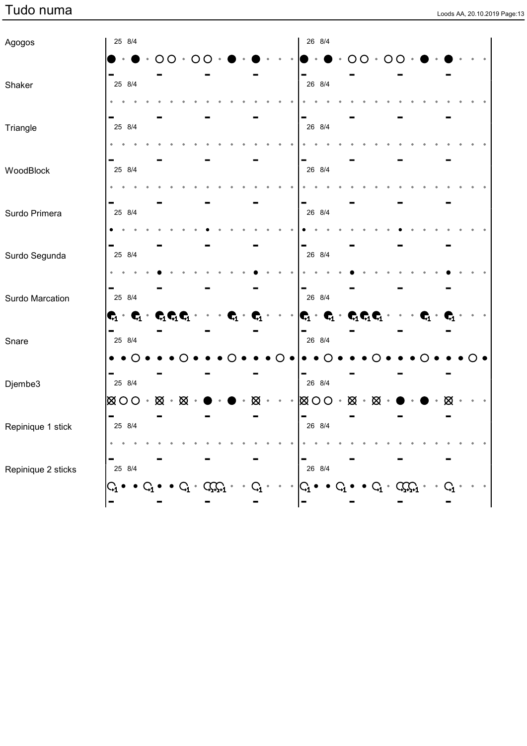| Loods AA, 20.10.2019 Page:13 |  |
|------------------------------|--|

| Agogos             | 25 8/4                                                            |  |           |                             |                 |              |  |                                                                   | 26 8/4 |           |                |   |   |                     |                |    |  |  |
|--------------------|-------------------------------------------------------------------|--|-----------|-----------------------------|-----------------|--------------|--|-------------------------------------------------------------------|--------|-----------|----------------|---|---|---------------------|----------------|----|--|--|
|                    |                                                                   |  | $\bigcap$ |                             |                 |              |  |                                                                   |        |           | $\bigcap$      |   | O |                     |                |    |  |  |
| Shaker             | 25 8/4                                                            |  |           |                             |                 |              |  |                                                                   | 26 8/4 |           |                |   |   |                     |                |    |  |  |
|                    |                                                                   |  |           |                             |                 |              |  |                                                                   |        |           |                |   |   |                     |                |    |  |  |
| Triangle           | 25 8/4                                                            |  |           |                             |                 |              |  |                                                                   | 26 8/4 |           |                |   |   |                     |                |    |  |  |
|                    |                                                                   |  |           |                             |                 |              |  |                                                                   |        |           |                |   |   |                     |                |    |  |  |
| WoodBlock          | 25 8/4                                                            |  |           |                             |                 |              |  |                                                                   | 26 8/4 |           |                |   |   |                     |                |    |  |  |
|                    |                                                                   |  |           |                             |                 |              |  |                                                                   |        |           |                |   |   |                     |                |    |  |  |
| Surdo Primera      | 25 8/4                                                            |  |           |                             |                 |              |  |                                                                   | 26 8/4 |           |                |   |   |                     |                |    |  |  |
|                    |                                                                   |  |           |                             |                 |              |  |                                                                   |        |           |                |   |   |                     |                |    |  |  |
| Surdo Segunda      | 25 8/4                                                            |  |           |                             |                 |              |  |                                                                   | 26 8/4 |           |                |   |   |                     |                |    |  |  |
|                    |                                                                   |  |           |                             |                 |              |  |                                                                   |        |           |                |   |   |                     |                |    |  |  |
| Surdo Marcation    | 25 8/4                                                            |  |           |                             |                 |              |  |                                                                   | 26 8/4 |           |                |   |   |                     |                |    |  |  |
|                    | $\mathbf{C}_1 \cdot \mathbf{C}_1 \cdot \mathbf{C}_1 \mathbf{C}_1$ |  |           |                             | $\mathbf{\P}_1$ |              |  | $\mathbf{C}_1 \cdot \mathbf{C}_1 \cdot \mathbf{C}_1 \mathbf{C}_1$ |        |           |                |   |   |                     | $\mathbf{G}_1$ |    |  |  |
| Snare              | -<br>25 8/4                                                       |  |           |                             |                 |              |  | -                                                                 | 26 8/4 |           |                |   |   |                     |                |    |  |  |
|                    |                                                                   |  |           |                             |                 |              |  |                                                                   |        |           |                |   |   |                     |                |    |  |  |
| Djembe3            | 25 8/4                                                            |  |           |                             |                 |              |  |                                                                   | 26 8/4 |           |                |   |   |                     |                |    |  |  |
|                    | $\overline{\otimes}$ OO $\cdot$ $\overline{\otimes}$ $\cdot$      |  | ⊠         |                             |                 |              |  | 図〇〇                                                               |        | $\bullet$ | ⊠<br>$\bullet$ | ⊠ |   |                     |                |    |  |  |
| Repinique 1 stick  | 25 8/4                                                            |  |           |                             |                 |              |  |                                                                   | 26 8/4 |           |                |   |   |                     |                |    |  |  |
|                    |                                                                   |  |           |                             |                 |              |  |                                                                   |        |           |                |   |   |                     |                |    |  |  |
| Repinique 2 sticks | 25 8/4                                                            |  |           |                             |                 |              |  |                                                                   | 26 8/4 |           |                |   |   |                     |                |    |  |  |
|                    | $\rm{G}_1$                                                        |  | $G_i$ .   | $C_{\mathbf{Q},\mathbf{Q}}$ |                 | $\mathbf{G}$ |  | $\Gamma_1 \bullet \bullet$                                        |        |           |                |   |   | $C_1 \cdot C_2 C_1$ |                | Q, |  |  |
|                    |                                                                   |  |           |                             |                 |              |  |                                                                   |        |           |                |   |   |                     |                |    |  |  |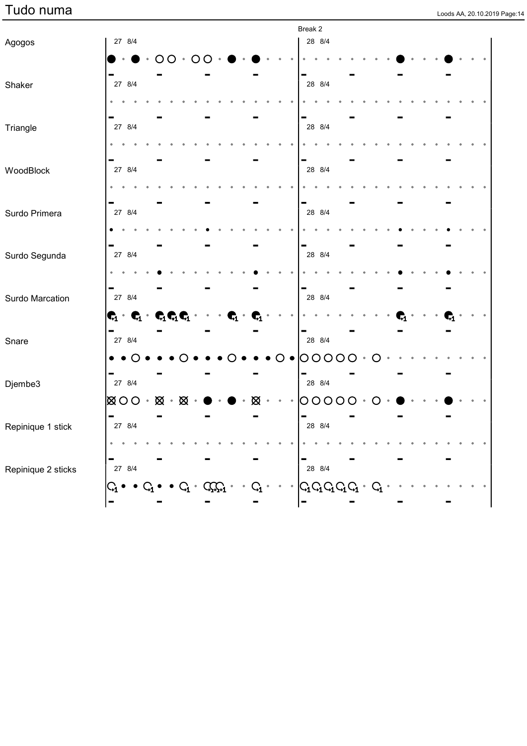| Loods AA, 20.10.2019 Page:14 |  |  |
|------------------------------|--|--|

|                    |                                                                                      |               |                |     |                                    |   |  | Break 2                 |                 |  |  |  |  |  |  |
|--------------------|--------------------------------------------------------------------------------------|---------------|----------------|-----|------------------------------------|---|--|-------------------------|-----------------|--|--|--|--|--|--|
| Agogos             | 27 8/4                                                                               |               |                |     |                                    |   |  | 28 8/4                  |                 |  |  |  |  |  |  |
|                    |                                                                                      | ∩<br>$\Omega$ | $\bullet$<br>O |     |                                    |   |  |                         |                 |  |  |  |  |  |  |
| Shaker             | 27 8/4                                                                               |               |                |     |                                    |   |  | 28 8/4                  |                 |  |  |  |  |  |  |
|                    |                                                                                      |               |                |     |                                    |   |  |                         |                 |  |  |  |  |  |  |
|                    |                                                                                      |               |                |     |                                    |   |  |                         |                 |  |  |  |  |  |  |
| Triangle           | 27 8/4                                                                               |               |                |     |                                    |   |  | 28 8/4                  |                 |  |  |  |  |  |  |
|                    |                                                                                      |               |                |     |                                    |   |  |                         |                 |  |  |  |  |  |  |
| WoodBlock          | 27 8/4                                                                               |               |                |     |                                    |   |  | 28 8/4                  |                 |  |  |  |  |  |  |
|                    |                                                                                      |               |                |     |                                    |   |  |                         |                 |  |  |  |  |  |  |
|                    |                                                                                      |               |                |     |                                    |   |  |                         |                 |  |  |  |  |  |  |
| Surdo Primera      | 27 8/4                                                                               |               |                |     |                                    |   |  | 28 8/4                  |                 |  |  |  |  |  |  |
|                    |                                                                                      |               |                |     |                                    |   |  |                         |                 |  |  |  |  |  |  |
|                    | 27 8/4                                                                               |               |                |     |                                    |   |  | 28 8/4                  |                 |  |  |  |  |  |  |
| Surdo Segunda      |                                                                                      |               |                |     |                                    |   |  |                         |                 |  |  |  |  |  |  |
|                    | -                                                                                    |               |                |     |                                    |   |  |                         |                 |  |  |  |  |  |  |
| Surdo Marcation    | 27 8/4                                                                               |               |                |     |                                    |   |  | 28 8/4                  |                 |  |  |  |  |  |  |
|                    | $\vert \textbf{C}_1 \cdot \textbf{C}_1 \cdot \textbf{C}_1 \textbf{C}_1 \textbf{C}_1$ |               |                |     | $\mathbf{\mathbf{\mathfrak{c}}}_1$ |   |  |                         |                 |  |  |  |  |  |  |
| Snare              | -<br>27 8/4                                                                          |               |                |     |                                    |   |  | 28 8/4                  |                 |  |  |  |  |  |  |
|                    |                                                                                      |               |                |     |                                    |   |  | $\circ$<br>O            | $\bigcirc$      |  |  |  |  |  |  |
|                    |                                                                                      |               |                |     |                                    |   |  |                         |                 |  |  |  |  |  |  |
| Djembe3            | 27 8/4                                                                               |               |                |     |                                    |   |  | 28 8/4                  |                 |  |  |  |  |  |  |
|                    | $\otimes$ $\circ$ $\circ$                                                            | $\boxtimes$ . | $\boxtimes$    |     |                                    |   |  | O                       | $\overline{O}O$ |  |  |  |  |  |  |
|                    | $\blacksquare$                                                                       |               |                |     |                                    |   |  |                         |                 |  |  |  |  |  |  |
| Repinique 1 stick  | 27 8/4                                                                               |               |                |     |                                    |   |  | 28 8/4                  |                 |  |  |  |  |  |  |
|                    | $\bullet$<br>۰                                                                       |               |                |     |                                    |   |  |                         |                 |  |  |  |  |  |  |
| Repinique 2 sticks | 27 8/4                                                                               |               |                |     |                                    |   |  | 28 8/4                  |                 |  |  |  |  |  |  |
|                    | $\varsigma_{\scriptscriptstyle 1}$                                                   |               | $Q_1$ .        | CCC |                                    | G |  | $G_1G_1G_1G_1\cdot G_1$ |                 |  |  |  |  |  |  |
|                    |                                                                                      |               |                |     |                                    |   |  |                         |                 |  |  |  |  |  |  |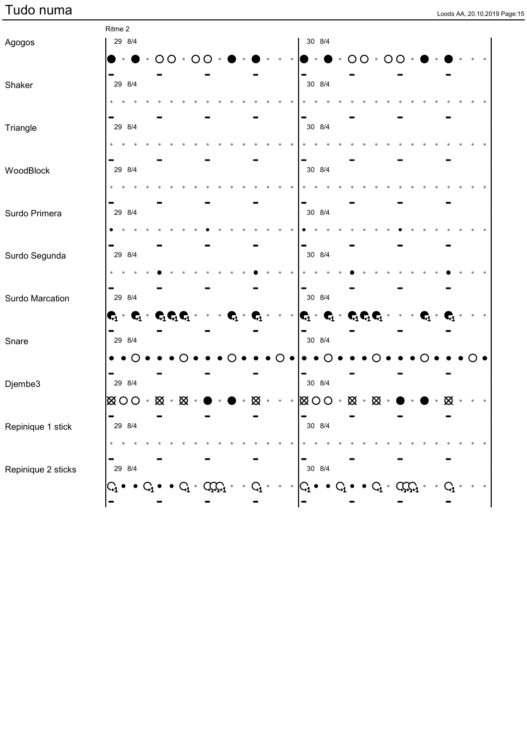|  |  | Loods AA, 20.10.2019 Page:15 |
|--|--|------------------------------|

|                    | Ritme 2                                                                        |        |               |              |      |  |  |                                                                                                                                  |        |           |               |               |                     |  |                  |  |
|--------------------|--------------------------------------------------------------------------------|--------|---------------|--------------|------|--|--|----------------------------------------------------------------------------------------------------------------------------------|--------|-----------|---------------|---------------|---------------------|--|------------------|--|
| Agogos             |                                                                                | 29 8/4 |               |              |      |  |  |                                                                                                                                  | 30 8/4 |           |               |               |                     |  |                  |  |
|                    |                                                                                |        |               | $OO \cdot O$ |      |  |  |                                                                                                                                  |        |           |               | $OO \cdot OO$ |                     |  |                  |  |
|                    |                                                                                |        |               |              |      |  |  |                                                                                                                                  |        |           |               |               |                     |  |                  |  |
| Shaker             | 29 8/4                                                                         |        |               |              |      |  |  |                                                                                                                                  | 30 8/4 |           |               |               |                     |  |                  |  |
|                    |                                                                                |        |               |              |      |  |  |                                                                                                                                  |        |           |               |               |                     |  |                  |  |
| Triangle           | 29 8/4                                                                         |        |               |              |      |  |  |                                                                                                                                  | 30 8/4 |           |               |               |                     |  |                  |  |
|                    |                                                                                |        |               |              |      |  |  |                                                                                                                                  |        |           |               |               |                     |  |                  |  |
|                    |                                                                                |        |               |              |      |  |  |                                                                                                                                  |        |           |               |               |                     |  |                  |  |
| WoodBlock          | 29 8/4                                                                         |        |               |              |      |  |  |                                                                                                                                  | 30 8/4 |           |               |               |                     |  |                  |  |
|                    |                                                                                |        |               |              |      |  |  |                                                                                                                                  |        |           |               |               |                     |  |                  |  |
|                    |                                                                                |        |               |              |      |  |  |                                                                                                                                  |        |           |               |               |                     |  |                  |  |
| Surdo Primera      |                                                                                | 29 8/4 |               |              |      |  |  |                                                                                                                                  | 30 8/4 |           |               |               |                     |  |                  |  |
|                    |                                                                                |        |               |              |      |  |  |                                                                                                                                  |        |           |               |               |                     |  |                  |  |
|                    |                                                                                |        |               |              |      |  |  |                                                                                                                                  |        |           |               |               |                     |  |                  |  |
| Surdo Segunda      | 29 8/4                                                                         |        |               |              |      |  |  |                                                                                                                                  | 30 8/4 |           |               |               |                     |  |                  |  |
|                    |                                                                                |        |               |              |      |  |  |                                                                                                                                  |        |           |               |               |                     |  |                  |  |
| Surdo Marcation    | 29 8/4                                                                         |        |               |              |      |  |  |                                                                                                                                  | 30 8/4 |           |               |               |                     |  |                  |  |
|                    |                                                                                |        |               |              |      |  |  |                                                                                                                                  |        |           |               |               |                     |  |                  |  |
|                    | $\textbf{C}_1 \cdot \textbf{C}_1 \cdot \textbf{C}_1 \textbf{C}_1 \textbf{C}_1$ |        |               |              |      |  |  | $\begin{array}{ccccccccc}\n\mathbf{C}_1 & \mathbf{C}_1 & \mathbf{C}_1 & \mathbf{C}_1 & \mathbf{C}_1 & \mathbf{C}_1\n\end{array}$ |        |           |               |               |                     |  |                  |  |
| Snare              | 29 8/4                                                                         |        |               |              |      |  |  |                                                                                                                                  | 30 8/4 |           |               |               |                     |  |                  |  |
|                    |                                                                                |        |               |              |      |  |  |                                                                                                                                  |        |           |               |               |                     |  |                  |  |
|                    |                                                                                |        |               |              |      |  |  |                                                                                                                                  |        |           |               |               |                     |  |                  |  |
| Djembe3            | 29 8/4                                                                         |        |               |              |      |  |  |                                                                                                                                  | 30 8/4 |           |               |               |                     |  |                  |  |
|                    | ⊠ O O ∗                                                                        |        | $\boxtimes$ . | ⊠            |      |  |  | 図〇〇                                                                                                                              |        | $\bullet$ | $\boxtimes$ . | ⊠             |                     |  |                  |  |
|                    | $\qquad \qquad \blacksquare$                                                   |        |               |              |      |  |  | $\blacksquare$                                                                                                                   |        |           |               |               |                     |  |                  |  |
| Repinique 1 stick  |                                                                                | 29 8/4 |               |              |      |  |  |                                                                                                                                  | 30 8/4 |           |               |               |                     |  |                  |  |
|                    |                                                                                |        |               |              |      |  |  |                                                                                                                                  |        |           |               |               |                     |  |                  |  |
|                    |                                                                                | 29 8/4 |               |              |      |  |  |                                                                                                                                  | 30 8/4 |           |               |               |                     |  |                  |  |
| Repinique 2 sticks |                                                                                |        |               |              |      |  |  |                                                                                                                                  |        |           |               |               |                     |  |                  |  |
|                    | $\mathsf{G}_\mathbf{1}$                                                        |        |               | $\rm G_{1}$  | CCC1 |  |  | $\mathbb{G}_1$                                                                                                                   |        |           |               |               | $C_1 \cdot C_2 C_1$ |  | $\mathbf{C_{1}}$ |  |
|                    |                                                                                |        |               |              |      |  |  |                                                                                                                                  |        |           |               |               |                     |  |                  |  |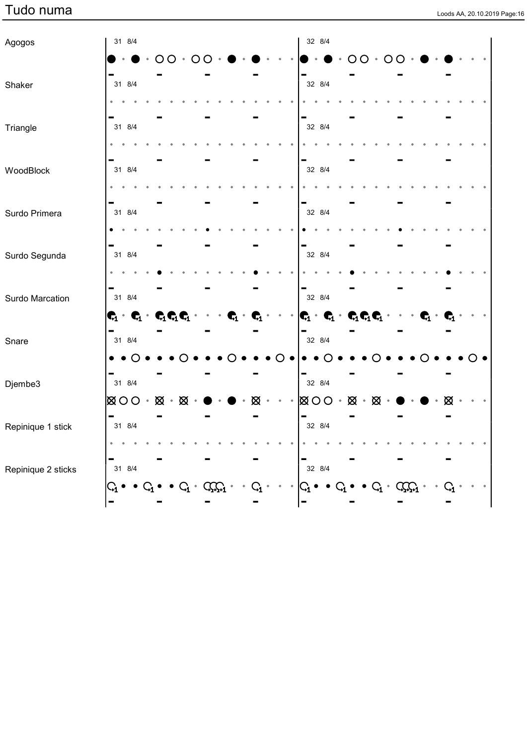|  |  | Loods AA, 20.10.2019 Page:16 |
|--|--|------------------------------|

| Agogos             | 31 8/4                                  |               |                                        |  |                         |   |  | 32 8/4                                                            |  |                             |         |     |  |    |  |  |
|--------------------|-----------------------------------------|---------------|----------------------------------------|--|-------------------------|---|--|-------------------------------------------------------------------|--|-----------------------------|---------|-----|--|----|--|--|
|                    |                                         |               |                                        |  |                         |   |  |                                                                   |  |                             |         | ( ) |  |    |  |  |
| Shaker             | 31 8/4                                  |               |                                        |  |                         |   |  | 32 8/4                                                            |  |                             |         |     |  |    |  |  |
|                    |                                         |               |                                        |  |                         |   |  |                                                                   |  |                             |         |     |  |    |  |  |
| Triangle           | 31 8/4                                  |               |                                        |  |                         |   |  | 32 8/4                                                            |  |                             |         |     |  |    |  |  |
|                    |                                         |               |                                        |  |                         |   |  |                                                                   |  |                             |         |     |  |    |  |  |
| WoodBlock          | 31 8/4                                  |               |                                        |  |                         |   |  | 32 8/4                                                            |  |                             |         |     |  |    |  |  |
|                    |                                         |               |                                        |  |                         |   |  |                                                                   |  |                             |         |     |  |    |  |  |
| Surdo Primera      | 31 8/4                                  |               |                                        |  |                         |   |  | 32 8/4                                                            |  |                             |         |     |  |    |  |  |
|                    |                                         |               |                                        |  |                         |   |  |                                                                   |  |                             |         |     |  |    |  |  |
| Surdo Segunda      | 31 8/4                                  |               |                                        |  |                         |   |  | 32 8/4                                                            |  |                             |         |     |  |    |  |  |
|                    |                                         |               |                                        |  |                         |   |  |                                                                   |  |                             |         |     |  |    |  |  |
| Surdo Marcation    | 31 8/4                                  |               |                                        |  |                         |   |  | 32 8/4                                                            |  |                             |         |     |  |    |  |  |
|                    | $\mathbf{C}_1 \cdot \mathbf{C}_1 \cdot$ |               | $\mathbf{C}_1\mathbf{C}_1\mathbf{C}_1$ |  | $\mathbf{\mathbf{q}}_1$ |   |  | $\mathbf{C}_1 \cdot \mathbf{C}_1 \cdot \mathbf{C}_1 \mathbf{C}_1$ |  |                             |         |     |  | Г. |  |  |
| Snare              | 31 8/4                                  |               |                                        |  |                         |   |  | 32 8/4                                                            |  |                             |         |     |  |    |  |  |
|                    |                                         | $\bullet$ ( ) |                                        |  |                         |   |  |                                                                   |  |                             |         |     |  |    |  |  |
| Djembe3            | 31 8/4                                  |               |                                        |  |                         |   |  | 32 8/4                                                            |  |                             |         |     |  |    |  |  |
|                    | $\otimes$ $\circ$ $\circ$               |               | $\boxtimes \cdot \boxtimes$            |  |                         | ⊠ |  | $\boxtimes$ 00 $\cdot$                                            |  | $\boxtimes \cdot \boxtimes$ |         |     |  |    |  |  |
| Repinique 1 stick  | 31 8/4                                  |               |                                        |  |                         |   |  | 32 8/4                                                            |  |                             |         |     |  |    |  |  |
|                    |                                         |               |                                        |  |                         |   |  |                                                                   |  |                             |         |     |  |    |  |  |
| Repinique 2 sticks | 31 8/4                                  |               |                                        |  |                         |   |  | 32 8/4                                                            |  |                             |         |     |  |    |  |  |
|                    |                                         |               |                                        |  |                         |   |  | $\bm{\mathsf{G}}_{\!\!\mathtt{i}}$                                |  |                             | $Q_1$ . |     |  |    |  |  |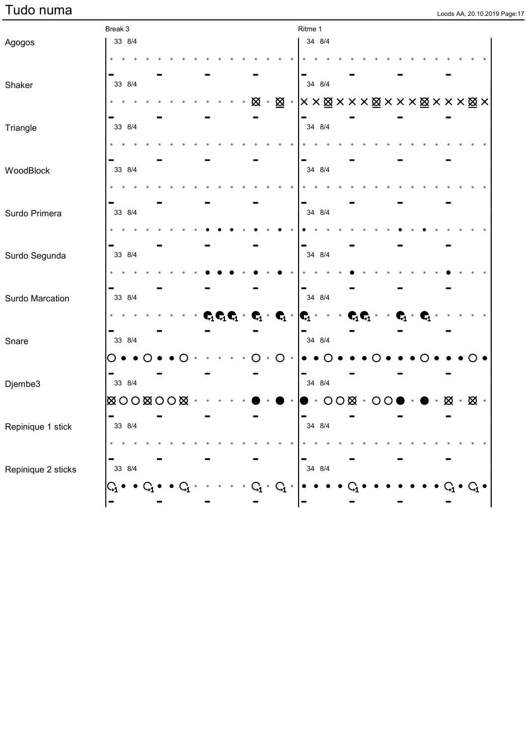|  |  | Loods AA, 20,10,2019 Page:17 |
|--|--|------------------------------|

|                    | Break 3                  |  |  |  |  |  |                                                                               | Ritme 1                                                                                                         |  |                              |   |  |   |               |  |
|--------------------|--------------------------|--|--|--|--|--|-------------------------------------------------------------------------------|-----------------------------------------------------------------------------------------------------------------|--|------------------------------|---|--|---|---------------|--|
| Agogos             | 33 8/4                   |  |  |  |  |  |                                                                               | 34 8/4                                                                                                          |  |                              |   |  |   |               |  |
|                    |                          |  |  |  |  |  |                                                                               |                                                                                                                 |  |                              |   |  |   |               |  |
|                    |                          |  |  |  |  |  |                                                                               |                                                                                                                 |  |                              |   |  |   |               |  |
| Shaker             | 33 8/4                   |  |  |  |  |  |                                                                               | 34 8/4                                                                                                          |  |                              |   |  |   |               |  |
|                    |                          |  |  |  |  |  |                                                                               | $\boxtimes \cdot \boxtimes \cdot  X \times \boxtimes X \times X \times \boxtimes X \times X \times X \times X $ |  |                              |   |  |   |               |  |
|                    | 33 8/4                   |  |  |  |  |  |                                                                               | 34 8/4                                                                                                          |  |                              |   |  |   |               |  |
| Triangle           |                          |  |  |  |  |  |                                                                               |                                                                                                                 |  |                              |   |  |   |               |  |
|                    |                          |  |  |  |  |  |                                                                               |                                                                                                                 |  |                              |   |  |   |               |  |
|                    | 33 8/4                   |  |  |  |  |  |                                                                               | 34 8/4                                                                                                          |  |                              |   |  |   |               |  |
| WoodBlock          |                          |  |  |  |  |  |                                                                               |                                                                                                                 |  |                              |   |  |   |               |  |
|                    |                          |  |  |  |  |  |                                                                               |                                                                                                                 |  |                              |   |  |   |               |  |
| Surdo Primera      | 33 8/4                   |  |  |  |  |  |                                                                               | 34 8/4                                                                                                          |  |                              |   |  |   |               |  |
|                    |                          |  |  |  |  |  |                                                                               |                                                                                                                 |  |                              |   |  |   |               |  |
|                    |                          |  |  |  |  |  |                                                                               |                                                                                                                 |  |                              |   |  |   |               |  |
|                    | 33 8/4                   |  |  |  |  |  |                                                                               | 34 8/4                                                                                                          |  |                              |   |  |   |               |  |
| Surdo Segunda      |                          |  |  |  |  |  |                                                                               |                                                                                                                 |  |                              |   |  |   |               |  |
|                    |                          |  |  |  |  |  |                                                                               |                                                                                                                 |  |                              |   |  |   |               |  |
|                    | 33 8/4                   |  |  |  |  |  |                                                                               | 34 8/4                                                                                                          |  |                              |   |  |   |               |  |
| Surdo Marcation    |                          |  |  |  |  |  |                                                                               |                                                                                                                 |  |                              |   |  |   |               |  |
|                    |                          |  |  |  |  |  | $\mathbf{C}_1\mathbf{C}_1\mathbf{C}_1\cdot\mathbf{C}_1\cdot\mathbf{C}_1\cdot$ | $\vert \mathbf{G}_1 \vert$                                                                                      |  | $\mathbf{C}_1\mathbf{C}_1$ . | 4 |  |   |               |  |
| Snare              | 33 8/4                   |  |  |  |  |  |                                                                               | 34 8/4                                                                                                          |  |                              |   |  |   |               |  |
|                    |                          |  |  |  |  |  |                                                                               |                                                                                                                 |  |                              |   |  |   |               |  |
|                    |                          |  |  |  |  |  | O                                                                             |                                                                                                                 |  |                              |   |  |   |               |  |
| Djembe3            | 33 8/4                   |  |  |  |  |  |                                                                               | 34 8/4                                                                                                          |  |                              |   |  |   |               |  |
|                    |                          |  |  |  |  |  |                                                                               |                                                                                                                 |  |                              |   |  |   |               |  |
|                    | <b>EXOOXOOX</b>          |  |  |  |  |  |                                                                               |                                                                                                                 |  | $OO$ $\otimes$ $\cdot$ $OO$  |   |  | ⊠ | $\boxtimes$ . |  |
| Repinique 1 stick  | $\blacksquare$<br>33 8/4 |  |  |  |  |  |                                                                               | $\qquad \qquad \blacksquare$<br>34 8/4                                                                          |  |                              |   |  |   |               |  |
|                    |                          |  |  |  |  |  |                                                                               |                                                                                                                 |  |                              |   |  |   |               |  |
|                    |                          |  |  |  |  |  |                                                                               |                                                                                                                 |  |                              |   |  |   |               |  |
|                    | 33 8/4                   |  |  |  |  |  |                                                                               | 34 8/4                                                                                                          |  |                              |   |  |   |               |  |
| Repinique 2 sticks |                          |  |  |  |  |  |                                                                               |                                                                                                                 |  |                              |   |  |   |               |  |
|                    |                          |  |  |  |  |  | $\mathbf{G}_\mathbf{1}$                                                       |                                                                                                                 |  |                              |   |  |   |               |  |
|                    |                          |  |  |  |  |  |                                                                               | -                                                                                                               |  |                              |   |  |   |               |  |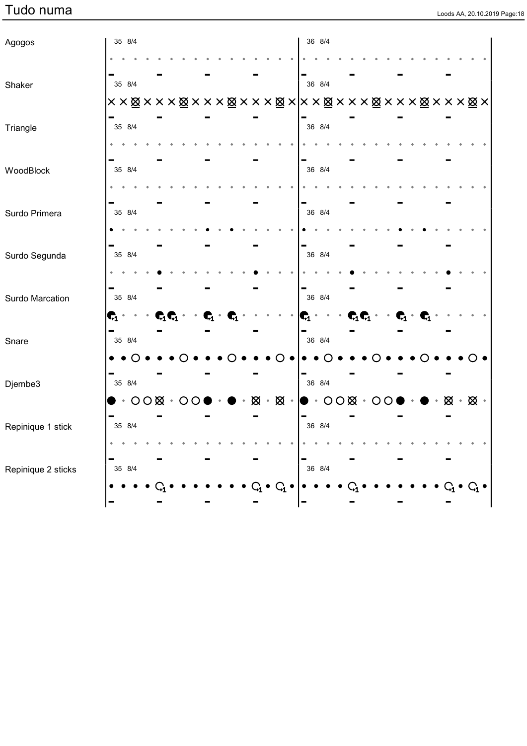|  |  | Loods AA, 20.10.2019 Page:18 |
|--|--|------------------------------|

| Agogos             |                         | 35 8/4                 |  |                              |  |                |                |  |          |                                                                                             | 36 8/4    |  |                                                                              |  |  |                         |                                   |  |  |
|--------------------|-------------------------|------------------------|--|------------------------------|--|----------------|----------------|--|----------|---------------------------------------------------------------------------------------------|-----------|--|------------------------------------------------------------------------------|--|--|-------------------------|-----------------------------------|--|--|
|                    |                         |                        |  |                              |  |                |                |  |          |                                                                                             |           |  |                                                                              |  |  |                         |                                   |  |  |
| Shaker             |                         | 35 8/4                 |  |                              |  |                |                |  |          |                                                                                             | 36 8/4    |  |                                                                              |  |  |                         |                                   |  |  |
|                    |                         |                        |  |                              |  |                |                |  |          |                                                                                             |           |  |                                                                              |  |  |                         |                                   |  |  |
| Triangle           |                         | 35 8/4                 |  |                              |  |                |                |  |          |                                                                                             | 36 8/4    |  |                                                                              |  |  |                         |                                   |  |  |
| WoodBlock          |                         | 35 8/4                 |  |                              |  |                |                |  |          |                                                                                             | 36 8/4    |  |                                                                              |  |  |                         |                                   |  |  |
|                    |                         |                        |  |                              |  |                |                |  |          |                                                                                             |           |  |                                                                              |  |  |                         |                                   |  |  |
| Surdo Primera      |                         | 35 8/4                 |  |                              |  |                |                |  |          |                                                                                             | 36 8/4    |  |                                                                              |  |  |                         |                                   |  |  |
|                    |                         |                        |  |                              |  |                |                |  |          |                                                                                             |           |  |                                                                              |  |  |                         |                                   |  |  |
| Surdo Segunda      |                         | 35 8/4                 |  |                              |  |                |                |  |          |                                                                                             | 36 8/4    |  |                                                                              |  |  |                         |                                   |  |  |
|                    |                         |                        |  |                              |  |                |                |  |          |                                                                                             |           |  |                                                                              |  |  |                         |                                   |  |  |
| Surdo Marcation    |                         | 35 8/4                 |  |                              |  |                |                |  |          |                                                                                             | 36 8/4    |  |                                                                              |  |  |                         |                                   |  |  |
|                    | $\mathbf{c}_\text{i}$ . |                        |  | $\mathbf{C}_1\mathbf{C}_1$ . |  | $\mathbf{G}_1$ | $\mathbf{G}_1$ |  |          | Ġ.                                                                                          | $\bullet$ |  | $\cdot$ C <sub>1</sub> C <sub>1</sub> $\cdot$ $\cdot$ C <sub>1</sub> $\cdot$ |  |  | $\mathbf{G}_1$          |                                   |  |  |
| Snare              |                         | 35 8/4                 |  |                              |  |                |                |  |          |                                                                                             | 36 8/4    |  |                                                                              |  |  |                         |                                   |  |  |
|                    |                         |                        |  |                              |  |                |                |  |          |                                                                                             |           |  |                                                                              |  |  |                         |                                   |  |  |
| Djembe3            |                         | 35 8/4                 |  |                              |  |                |                |  |          |                                                                                             | 36 8/4    |  |                                                                              |  |  |                         |                                   |  |  |
|                    |                         | $\cdot$ 000 $\cdot$ 00 |  |                              |  |                | $\blacksquare$ |  |          | $\boxtimes \cdot \boxtimes \cdot   \bullet \cdot \text{OO} \boxtimes \cdot \text{OO} \cdot$ |           |  |                                                                              |  |  | $\bullet$ . $\bullet$ . | $\boxtimes \cdot \boxtimes \cdot$ |  |  |
| Repinique 1 stick  |                         | 35 8/4                 |  |                              |  |                |                |  |          |                                                                                             | 36 8/4    |  |                                                                              |  |  |                         |                                   |  |  |
|                    |                         |                        |  |                              |  |                |                |  |          |                                                                                             |           |  |                                                                              |  |  |                         |                                   |  |  |
| Repinique 2 sticks |                         | 35 8/4                 |  |                              |  |                |                |  |          |                                                                                             | 36 8/4    |  |                                                                              |  |  |                         |                                   |  |  |
|                    |                         |                        |  |                              |  |                |                |  | $\rm{G}$ |                                                                                             |           |  |                                                                              |  |  |                         |                                   |  |  |
|                    |                         |                        |  |                              |  |                |                |  |          |                                                                                             |           |  |                                                                              |  |  |                         |                                   |  |  |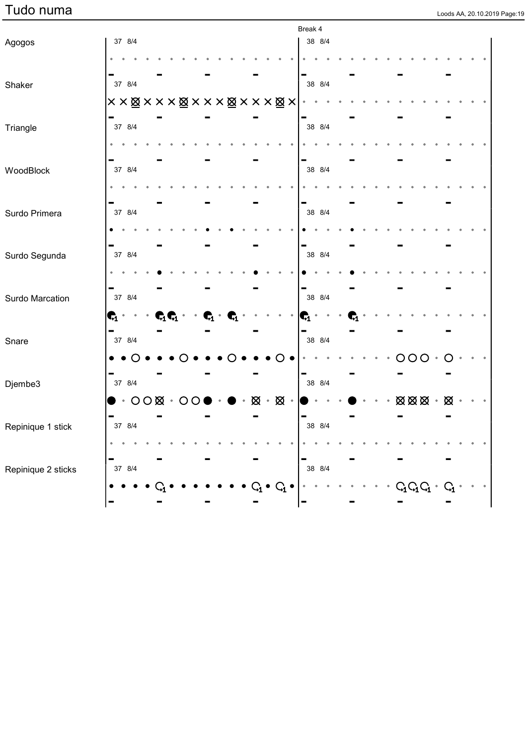|  |  | Loods AA, 20.10.2019 Page:1 |
|--|--|-----------------------------|

|                    |           |                                                   |  |                                                                              |  |  |             |                 | Break 4        |           |  |  |                                               |            |               |                |  |  |
|--------------------|-----------|---------------------------------------------------|--|------------------------------------------------------------------------------|--|--|-------------|-----------------|----------------|-----------|--|--|-----------------------------------------------|------------|---------------|----------------|--|--|
| Agogos             |           | 37 8/4                                            |  |                                                                              |  |  |             |                 |                | 38 8/4    |  |  |                                               |            |               |                |  |  |
|                    |           |                                                   |  |                                                                              |  |  |             |                 |                |           |  |  |                                               |            |               |                |  |  |
| Shaker             |           | 37 8/4                                            |  |                                                                              |  |  |             |                 |                | 38 8/4    |  |  |                                               |            |               |                |  |  |
|                    |           |                                                   |  | ××⊠×××⊠×××⊠×××⊠×                                                             |  |  |             |                 |                |           |  |  |                                               |            |               |                |  |  |
|                    |           |                                                   |  |                                                                              |  |  |             |                 |                |           |  |  |                                               |            |               |                |  |  |
| Triangle           |           | 37 8/4                                            |  |                                                                              |  |  |             |                 |                | 38 8/4    |  |  |                                               |            |               |                |  |  |
|                    |           |                                                   |  |                                                                              |  |  |             |                 |                |           |  |  |                                               |            |               |                |  |  |
| WoodBlock          |           | 37 8/4                                            |  |                                                                              |  |  |             |                 |                | 38 8/4    |  |  |                                               |            |               |                |  |  |
|                    |           |                                                   |  |                                                                              |  |  |             |                 |                |           |  |  |                                               |            |               |                |  |  |
|                    |           |                                                   |  |                                                                              |  |  |             |                 |                |           |  |  |                                               |            |               |                |  |  |
| Surdo Primera      |           | 37 8/4                                            |  |                                                                              |  |  |             |                 |                | 38 8/4    |  |  |                                               |            |               |                |  |  |
|                    |           |                                                   |  |                                                                              |  |  |             |                 |                |           |  |  |                                               |            |               |                |  |  |
| Surdo Segunda      |           | 37 8/4                                            |  |                                                                              |  |  |             |                 |                | 38 8/4    |  |  |                                               |            |               |                |  |  |
|                    |           |                                                   |  |                                                                              |  |  |             |                 |                |           |  |  |                                               |            |               |                |  |  |
|                    |           |                                                   |  |                                                                              |  |  |             |                 |                |           |  |  |                                               |            |               |                |  |  |
| Surdo Marcation    |           | 37 8/4                                            |  |                                                                              |  |  |             |                 |                | 38 8/4    |  |  |                                               |            |               |                |  |  |
|                    |           | $\mathbf{c}_1$ .                                  |  | $\mathbf{C}_1\mathbf{C}_1 \cdot \cdot \cdot \mathbf{C}_1 \cdot \mathbf{C}_1$ |  |  |             |                 | $\mathbf{C}_1$ | $\bullet$ |  |  |                                               |            |               |                |  |  |
| Snare              |           | 37 8/4                                            |  |                                                                              |  |  |             |                 |                | 38 8/4    |  |  |                                               |            |               |                |  |  |
|                    |           |                                                   |  |                                                                              |  |  |             |                 |                |           |  |  |                                               | $\bigcirc$ | $\mathcal{C}$ |                |  |  |
|                    |           |                                                   |  |                                                                              |  |  |             |                 |                |           |  |  |                                               |            |               |                |  |  |
| Djembe3            |           | 37 8/4                                            |  |                                                                              |  |  |             |                 |                | 38 8/4    |  |  |                                               |            |               |                |  |  |
|                    |           | $\bullet \cdot \circ \circ \boxtimes \cdot \circ$ |  |                                                                              |  |  | $\otimes$ . | $\boxtimes$ .   |                |           |  |  | $\boxtimes \boxtimes \boxtimes$ . $\boxtimes$ |            |               |                |  |  |
|                    |           | 37 8/4                                            |  |                                                                              |  |  |             |                 |                | 38 8/4    |  |  |                                               |            |               |                |  |  |
| Repinique 1 stick  | $\bullet$ |                                                   |  |                                                                              |  |  |             |                 |                |           |  |  |                                               |            |               |                |  |  |
|                    |           |                                                   |  |                                                                              |  |  |             |                 |                |           |  |  |                                               |            |               |                |  |  |
| Repinique 2 sticks |           | 37 8/4                                            |  |                                                                              |  |  |             |                 |                | 38 8/4    |  |  |                                               |            |               |                |  |  |
|                    |           |                                                   |  |                                                                              |  |  | $\rm{G}$    | $\bullet$ $C_1$ |                |           |  |  | $C_1C_1C_1$                                   |            |               | $\mathbf{Q}_1$ |  |  |
|                    | -         |                                                   |  |                                                                              |  |  |             |                 |                |           |  |  |                                               |            |               |                |  |  |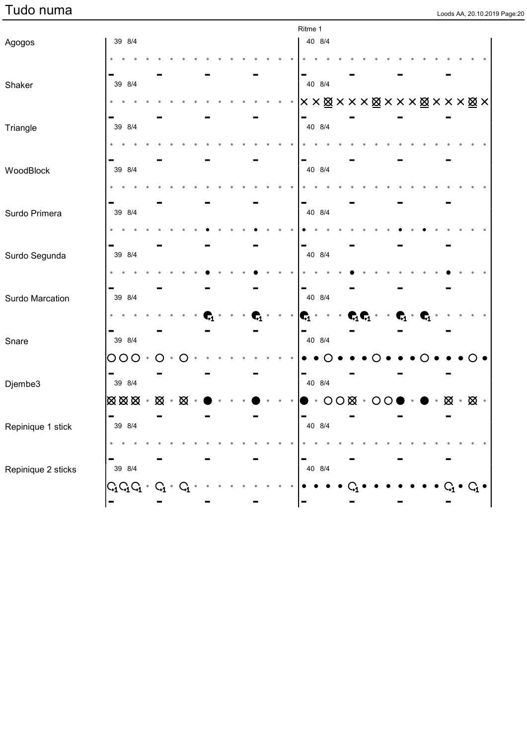| Loods AA, 20.10.2019 Pag |  |  |  |
|--------------------------|--|--|--|

|                    |                                                 |          |  |  |  |                |  | Ritme 1             |                        |  |                                                           |  |                |  |                             |  |
|--------------------|-------------------------------------------------|----------|--|--|--|----------------|--|---------------------|------------------------|--|-----------------------------------------------------------|--|----------------|--|-----------------------------|--|
| Agogos             | 39 8/4                                          |          |  |  |  |                |  |                     | 40 8/4                 |  |                                                           |  |                |  |                             |  |
|                    |                                                 |          |  |  |  |                |  |                     |                        |  |                                                           |  |                |  |                             |  |
| Shaker             | 39 8/4                                          |          |  |  |  |                |  |                     | 40 8/4                 |  |                                                           |  |                |  |                             |  |
|                    |                                                 |          |  |  |  |                |  | ××⊠×××⊠×××⊠×××⊠×    |                        |  |                                                           |  |                |  |                             |  |
| Triangle           | 39 8/4                                          |          |  |  |  |                |  |                     | 40 8/4                 |  |                                                           |  |                |  |                             |  |
|                    |                                                 |          |  |  |  |                |  |                     |                        |  |                                                           |  |                |  |                             |  |
| WoodBlock          | 39 8/4                                          |          |  |  |  |                |  |                     | 40 8/4                 |  |                                                           |  |                |  |                             |  |
|                    |                                                 |          |  |  |  |                |  |                     |                        |  |                                                           |  |                |  |                             |  |
| Surdo Primera      | 39 8/4                                          |          |  |  |  |                |  |                     | 40 8/4                 |  |                                                           |  |                |  |                             |  |
|                    |                                                 |          |  |  |  |                |  |                     |                        |  |                                                           |  |                |  |                             |  |
| Surdo Segunda      | 39 8/4                                          |          |  |  |  |                |  |                     | 40 8/4                 |  |                                                           |  |                |  |                             |  |
|                    |                                                 |          |  |  |  |                |  |                     |                        |  |                                                           |  |                |  |                             |  |
| Surdo Marcation    | 39 8/4                                          |          |  |  |  |                |  |                     | 40 8/4                 |  |                                                           |  |                |  |                             |  |
|                    |                                                 |          |  |  |  | $\mathbf{G}_1$ |  | $ \mathbf{C} \cdot$ |                        |  | $\mathbf{C}_1\mathbf{C}_1 \cdot \cdot \mathbf{C}_1 \cdot$ |  | $\mathbf{G}_1$ |  |                             |  |
| Snare              | 39 8/4                                          |          |  |  |  |                |  |                     | 40 8/4                 |  |                                                           |  |                |  |                             |  |
|                    | 000.                                            | $\circ$  |  |  |  |                |  |                     |                        |  |                                                           |  |                |  |                             |  |
| Djembe3            | 39 8/4                                          |          |  |  |  |                |  |                     | 40 8/4                 |  |                                                           |  |                |  |                             |  |
|                    | $\boxtimes \boxtimes \boxtimes \cdot \boxtimes$ |          |  |  |  |                |  |                     | $\cdot$ 000 $\cdot$ 00 |  |                                                           |  |                |  | $\boxtimes \cdot \boxtimes$ |  |
| Repinique 1 stick  | $\blacksquare$<br>39 8/4                        |          |  |  |  |                |  | $\blacksquare$      | 40 8/4                 |  |                                                           |  |                |  |                             |  |
|                    |                                                 |          |  |  |  |                |  |                     |                        |  |                                                           |  |                |  |                             |  |
| Repinique 2 sticks | 39 8/4                                          |          |  |  |  |                |  |                     | 40 8/4                 |  |                                                           |  |                |  |                             |  |
|                    | $G_1G_1G_1$ .                                   | $\rm{G}$ |  |  |  |                |  |                     |                        |  |                                                           |  |                |  | $\mathsf{G}_1$              |  |
|                    |                                                 |          |  |  |  |                |  | -                   |                        |  |                                                           |  |                |  |                             |  |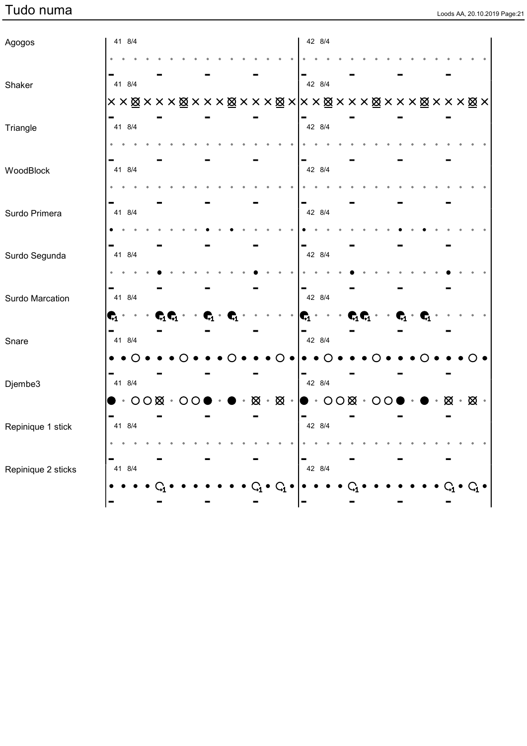| Loods AA, 20.10.2019 Page:21 |  |  |
|------------------------------|--|--|

| Agogos             |                | 41 8/4                 |  |  |                                                 |                |  |  | 42 8/4                                                                                                |           |                                                                                     |  |  |  |                               |  |  |
|--------------------|----------------|------------------------|--|--|-------------------------------------------------|----------------|--|--|-------------------------------------------------------------------------------------------------------|-----------|-------------------------------------------------------------------------------------|--|--|--|-------------------------------|--|--|
|                    |                |                        |  |  |                                                 |                |  |  |                                                                                                       |           |                                                                                     |  |  |  |                               |  |  |
| Shaker             |                | 41 8/4                 |  |  |                                                 |                |  |  | 42 8/4                                                                                                |           |                                                                                     |  |  |  |                               |  |  |
|                    |                |                        |  |  |                                                 |                |  |  | ××⊠×××⊠×××⊠×××⊠× ××⊠×××⊠×××⊠×××⊠×                                                                     |           |                                                                                     |  |  |  |                               |  |  |
| Triangle           |                | 41 8/4                 |  |  |                                                 |                |  |  | 42 8/4                                                                                                |           |                                                                                     |  |  |  |                               |  |  |
|                    |                |                        |  |  |                                                 |                |  |  |                                                                                                       |           |                                                                                     |  |  |  |                               |  |  |
| WoodBlock          |                | 41 8/4                 |  |  |                                                 |                |  |  | 42 8/4                                                                                                |           |                                                                                     |  |  |  |                               |  |  |
|                    |                |                        |  |  |                                                 |                |  |  |                                                                                                       |           |                                                                                     |  |  |  |                               |  |  |
| Surdo Primera      |                | 41 8/4                 |  |  |                                                 |                |  |  | 42 8/4                                                                                                |           |                                                                                     |  |  |  |                               |  |  |
|                    |                |                        |  |  |                                                 |                |  |  |                                                                                                       |           |                                                                                     |  |  |  |                               |  |  |
| Surdo Segunda      |                | 41 8/4                 |  |  |                                                 |                |  |  | 42 8/4                                                                                                |           |                                                                                     |  |  |  |                               |  |  |
|                    |                |                        |  |  |                                                 |                |  |  |                                                                                                       |           |                                                                                     |  |  |  |                               |  |  |
| Surdo Marcation    |                | 41 8/4                 |  |  |                                                 |                |  |  | 42 8/4                                                                                                |           |                                                                                     |  |  |  |                               |  |  |
|                    | $\mathbf{G}$ . |                        |  |  | $\mathbf{C}_1 \mathbf{C}_1 \cdots \mathbf{C}_1$ | $\mathbf{G}_1$ |  |  | $ \mathbf{C}_1 $ .                                                                                    | $\bullet$ | $\cdot$ C <sub>1</sub> C <sub>1</sub> $\cdot$ C <sub>1</sub> $\cdot$ C <sub>1</sub> |  |  |  |                               |  |  |
| Snare              |                | 41 8/4                 |  |  |                                                 |                |  |  | 42 8/4                                                                                                |           |                                                                                     |  |  |  |                               |  |  |
|                    |                |                        |  |  |                                                 |                |  |  |                                                                                                       |           |                                                                                     |  |  |  |                               |  |  |
| Djembe3            |                | 41 8/4                 |  |  |                                                 |                |  |  | 42 8/4                                                                                                |           |                                                                                     |  |  |  |                               |  |  |
|                    |                | $\cdot$ 000 $\cdot$ 00 |  |  |                                                 | $\blacksquare$ |  |  | $\boxtimes \cdot \boxtimes \cdot \, \vert \bullet \cdot \text{OO} \boxtimes \cdot \text{OO} \, \vert$ |           |                                                                                     |  |  |  | $\otimes \cdot \otimes \cdot$ |  |  |
| Repinique 1 stick  |                | 41 8/4                 |  |  |                                                 |                |  |  | 42 8/4                                                                                                |           |                                                                                     |  |  |  |                               |  |  |
|                    |                |                        |  |  |                                                 |                |  |  |                                                                                                       |           |                                                                                     |  |  |  |                               |  |  |
| Repinique 2 sticks |                | 41 8/4                 |  |  |                                                 |                |  |  | 42 8/4                                                                                                |           |                                                                                     |  |  |  |                               |  |  |
|                    |                |                        |  |  |                                                 |                |  |  |                                                                                                       |           |                                                                                     |  |  |  |                               |  |  |
|                    |                |                        |  |  |                                                 |                |  |  |                                                                                                       |           |                                                                                     |  |  |  |                               |  |  |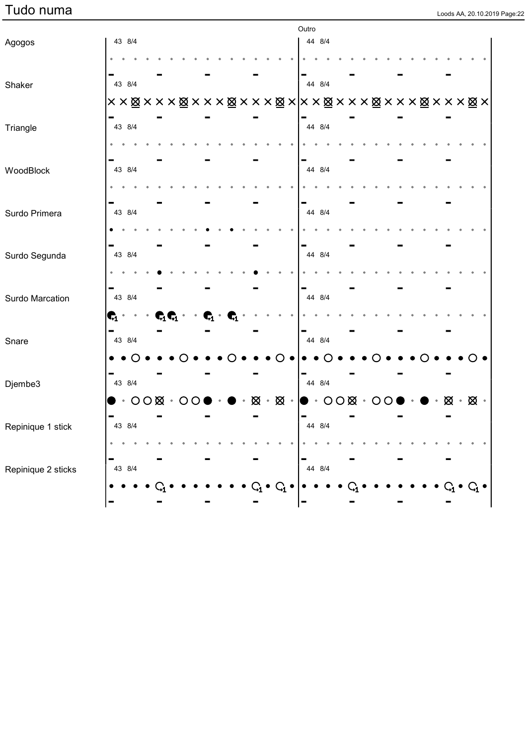|                    |                |                       |  |                              |                |                |   |           |                 | Outro                    |                        |  |  |  |  |   |               |  |
|--------------------|----------------|-----------------------|--|------------------------------|----------------|----------------|---|-----------|-----------------|--------------------------|------------------------|--|--|--|--|---|---------------|--|
| Agogos             |                | 43 8/4                |  |                              |                |                |   |           |                 |                          | 44 8/4                 |  |  |  |  |   |               |  |
|                    |                |                       |  |                              |                |                |   |           |                 |                          |                        |  |  |  |  |   |               |  |
| Shaker             |                | 43 8/4                |  |                              |                |                |   |           |                 |                          | 44 8/4                 |  |  |  |  |   |               |  |
|                    |                |                       |  |                              |                |                |   |           |                 |                          |                        |  |  |  |  |   |               |  |
| Triangle           |                | 43 8/4                |  |                              |                |                |   |           |                 |                          | 44 8/4                 |  |  |  |  |   |               |  |
|                    |                |                       |  |                              |                |                |   |           |                 |                          |                        |  |  |  |  |   |               |  |
| WoodBlock          |                | 43 8/4                |  |                              |                |                |   |           |                 |                          | 44 8/4                 |  |  |  |  |   |               |  |
|                    |                |                       |  |                              |                |                |   |           |                 |                          |                        |  |  |  |  |   |               |  |
| Surdo Primera      |                | 43 8/4                |  |                              |                |                |   |           |                 |                          | 44 8/4                 |  |  |  |  |   |               |  |
|                    |                |                       |  |                              |                |                |   |           |                 |                          |                        |  |  |  |  |   |               |  |
| Surdo Segunda      |                | 43 8/4                |  |                              |                |                |   |           |                 |                          | 44 8/4                 |  |  |  |  |   |               |  |
|                    |                |                       |  |                              |                |                |   |           |                 |                          |                        |  |  |  |  |   |               |  |
| Surdo Marcation    |                | 43 8/4                |  |                              |                |                |   |           |                 | -                        | 44 8/4                 |  |  |  |  |   |               |  |
|                    | $\mathbf{G}$ . |                       |  | $\mathbf{C}_1\mathbf{C}_1$ . | $\mathbf{G}_1$ | $\mathbf{G}_1$ |   |           |                 |                          |                        |  |  |  |  |   |               |  |
| Snare              |                | 43 8/4                |  |                              |                |                |   |           |                 | ▬                        | 44 8/4                 |  |  |  |  |   |               |  |
|                    |                |                       |  |                              |                |                |   |           |                 |                          |                        |  |  |  |  |   |               |  |
| Djembe3            |                | 43 8/4                |  |                              |                |                |   |           |                 | -                        | 44 8/4                 |  |  |  |  |   |               |  |
|                    |                | $\cdot$ OOØ $\cdot$ O |  |                              |                |                | Ø | $\bullet$ | $\otimes \cdot$ |                          | $\cdot$ 000 $\cdot$ 00 |  |  |  |  | ⊠ | $\boxtimes$ . |  |
| Repinique 1 stick  |                | 43 8/4                |  |                              |                |                |   |           |                 | $\overline{\phantom{0}}$ | 44 8/4                 |  |  |  |  |   |               |  |
|                    |                |                       |  |                              |                |                |   |           |                 |                          |                        |  |  |  |  |   |               |  |
| Repinique 2 sticks |                | 43 8/4                |  |                              |                |                |   |           |                 |                          | 44 8/4                 |  |  |  |  |   |               |  |
|                    |                |                       |  |                              |                |                |   |           | $\mathrm{G}_1$  |                          |                        |  |  |  |  |   |               |  |
|                    |                |                       |  |                              |                |                |   |           |                 |                          |                        |  |  |  |  |   |               |  |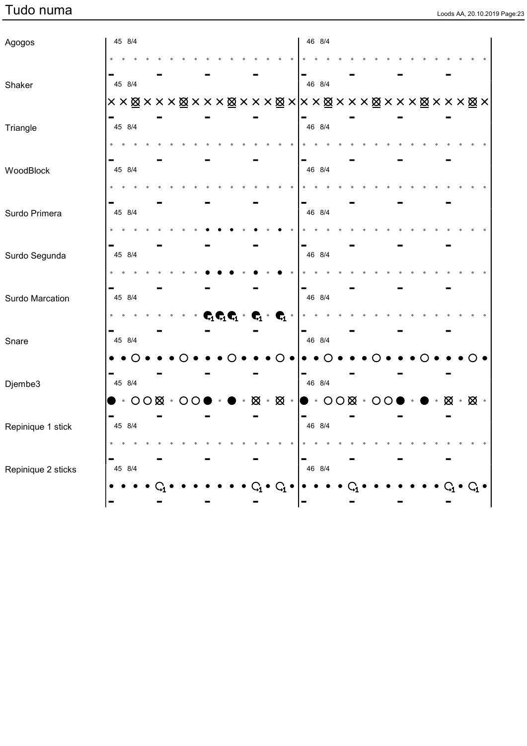| Loods AA, 20.10.2019 Page:23 |  |
|------------------------------|--|

| Agogos             |  | 45 8/4                 |  |  |  |                |  |                                                                                                             |  |                                                                                                       | 46 8/4 |  |  |  |  |                                   |  |  |
|--------------------|--|------------------------|--|--|--|----------------|--|-------------------------------------------------------------------------------------------------------------|--|-------------------------------------------------------------------------------------------------------|--------|--|--|--|--|-----------------------------------|--|--|
|                    |  |                        |  |  |  |                |  |                                                                                                             |  |                                                                                                       |        |  |  |  |  |                                   |  |  |
| Shaker             |  | 45 8/4                 |  |  |  |                |  |                                                                                                             |  |                                                                                                       | 46 8/4 |  |  |  |  |                                   |  |  |
|                    |  |                        |  |  |  |                |  |                                                                                                             |  |                                                                                                       |        |  |  |  |  |                                   |  |  |
| Triangle           |  | 45 8/4                 |  |  |  |                |  |                                                                                                             |  |                                                                                                       | 46 8/4 |  |  |  |  |                                   |  |  |
|                    |  |                        |  |  |  |                |  |                                                                                                             |  |                                                                                                       |        |  |  |  |  |                                   |  |  |
| WoodBlock          |  | 45 8/4                 |  |  |  |                |  |                                                                                                             |  |                                                                                                       | 46 8/4 |  |  |  |  |                                   |  |  |
|                    |  |                        |  |  |  |                |  |                                                                                                             |  |                                                                                                       |        |  |  |  |  |                                   |  |  |
| Surdo Primera      |  | 45 8/4                 |  |  |  |                |  |                                                                                                             |  |                                                                                                       | 46 8/4 |  |  |  |  |                                   |  |  |
|                    |  |                        |  |  |  |                |  |                                                                                                             |  |                                                                                                       |        |  |  |  |  |                                   |  |  |
| Surdo Segunda      |  | 45 8/4                 |  |  |  |                |  |                                                                                                             |  |                                                                                                       | 46 8/4 |  |  |  |  |                                   |  |  |
|                    |  |                        |  |  |  |                |  |                                                                                                             |  |                                                                                                       |        |  |  |  |  |                                   |  |  |
| Surdo Marcation    |  | 45 8/4                 |  |  |  |                |  |                                                                                                             |  |                                                                                                       | 46 8/4 |  |  |  |  |                                   |  |  |
|                    |  |                        |  |  |  |                |  | $\begin{aligned} \mathbf{C}_1\mathbf{C}_1\mathbf{C}_1\cdot\mathbf{C}_1\cdot\mathbf{C}_1\cdot \end{aligned}$ |  |                                                                                                       |        |  |  |  |  |                                   |  |  |
| Snare              |  | 45 8/4                 |  |  |  |                |  |                                                                                                             |  |                                                                                                       | 46 8/4 |  |  |  |  |                                   |  |  |
|                    |  |                        |  |  |  |                |  |                                                                                                             |  |                                                                                                       |        |  |  |  |  |                                   |  |  |
| Djembe3            |  | 45 8/4                 |  |  |  |                |  |                                                                                                             |  |                                                                                                       | 46 8/4 |  |  |  |  |                                   |  |  |
|                    |  | $\cdot$ 000 $\cdot$ 00 |  |  |  | $\blacksquare$ |  |                                                                                                             |  | $\boxtimes \cdot \boxtimes \cdot \, \vert \bullet \cdot \text{OO} \boxtimes \cdot \text{OO} \, \vert$ |        |  |  |  |  | $\boxtimes \cdot \boxtimes \cdot$ |  |  |
| Repinique 1 stick  |  | 45 8/4                 |  |  |  |                |  |                                                                                                             |  |                                                                                                       | 46 8/4 |  |  |  |  |                                   |  |  |
|                    |  |                        |  |  |  |                |  |                                                                                                             |  |                                                                                                       |        |  |  |  |  |                                   |  |  |
| Repinique 2 sticks |  | 45 8/4                 |  |  |  |                |  |                                                                                                             |  |                                                                                                       | 46 8/4 |  |  |  |  |                                   |  |  |
|                    |  |                        |  |  |  |                |  |                                                                                                             |  |                                                                                                       |        |  |  |  |  |                                   |  |  |
|                    |  |                        |  |  |  |                |  |                                                                                                             |  |                                                                                                       |        |  |  |  |  |                                   |  |  |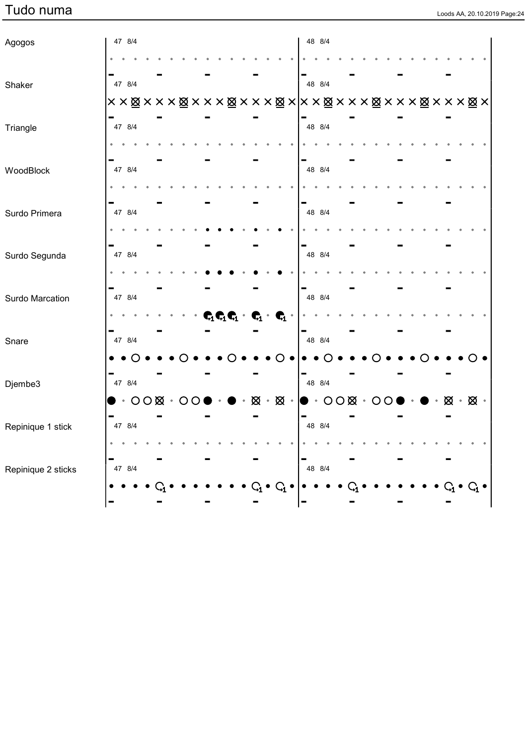|  |  | Loods AA, 20.10.2019 Page:24 |
|--|--|------------------------------|

| Agogos             |  | 47 8/4                 |  |  |  |             |  |                                                                                                        | 48 8/4                                                                                                             |  |  |  |  |  |                                                     |  |  |
|--------------------|--|------------------------|--|--|--|-------------|--|--------------------------------------------------------------------------------------------------------|--------------------------------------------------------------------------------------------------------------------|--|--|--|--|--|-----------------------------------------------------|--|--|
|                    |  |                        |  |  |  |             |  |                                                                                                        |                                                                                                                    |  |  |  |  |  |                                                     |  |  |
| Shaker             |  | 47 8/4                 |  |  |  |             |  |                                                                                                        | 48 8/4                                                                                                             |  |  |  |  |  |                                                     |  |  |
|                    |  |                        |  |  |  |             |  |                                                                                                        | ××⊠×××⊠×××⊠×××⊠× ××⊠×××⊠×××⊠×××⊠×                                                                                  |  |  |  |  |  |                                                     |  |  |
| Triangle           |  | 47 8/4                 |  |  |  |             |  |                                                                                                        | 48 8/4                                                                                                             |  |  |  |  |  |                                                     |  |  |
|                    |  |                        |  |  |  |             |  |                                                                                                        |                                                                                                                    |  |  |  |  |  |                                                     |  |  |
| WoodBlock          |  | 47 8/4                 |  |  |  |             |  |                                                                                                        | 48 8/4                                                                                                             |  |  |  |  |  |                                                     |  |  |
|                    |  |                        |  |  |  |             |  |                                                                                                        |                                                                                                                    |  |  |  |  |  |                                                     |  |  |
| Surdo Primera      |  | 47 8/4                 |  |  |  |             |  |                                                                                                        | 48 8/4                                                                                                             |  |  |  |  |  |                                                     |  |  |
|                    |  |                        |  |  |  |             |  |                                                                                                        |                                                                                                                    |  |  |  |  |  |                                                     |  |  |
| Surdo Segunda      |  | 47 8/4                 |  |  |  |             |  |                                                                                                        | 48 8/4                                                                                                             |  |  |  |  |  |                                                     |  |  |
|                    |  |                        |  |  |  |             |  |                                                                                                        |                                                                                                                    |  |  |  |  |  |                                                     |  |  |
| Surdo Marcation    |  | 47 8/4                 |  |  |  |             |  |                                                                                                        | 48 8/4                                                                                                             |  |  |  |  |  |                                                     |  |  |
|                    |  |                        |  |  |  |             |  | $\begin{array}{cccccc} \mathbf{C}_1\mathbf{C}_1\mathbf{C}_1 & \mathbf{C}_1 & \mathbf{C}_1 \end{array}$ |                                                                                                                    |  |  |  |  |  |                                                     |  |  |
| Snare              |  | 47 8/4                 |  |  |  |             |  |                                                                                                        | 48 8/4                                                                                                             |  |  |  |  |  |                                                     |  |  |
|                    |  |                        |  |  |  |             |  |                                                                                                        |                                                                                                                    |  |  |  |  |  |                                                     |  |  |
| Djembe3            |  | 47 8/4                 |  |  |  |             |  |                                                                                                        | 48 8/4                                                                                                             |  |  |  |  |  |                                                     |  |  |
|                    |  | $\cdot$ 000 $\cdot$ 00 |  |  |  | $\bullet$ . |  |                                                                                                        | $\boxtimes \cdot \boxtimes \cdot \, \vert \bullet \cdot \bigcirc \bigcirc \boxtimes \cdot \bigcirc \bigcirc \cdot$ |  |  |  |  |  | $\bullet\bullet\bullet\boxtimes\cdot\boxtimes\cdot$ |  |  |
| Repinique 1 stick  |  | 47 8/4                 |  |  |  |             |  |                                                                                                        | 48 8/4                                                                                                             |  |  |  |  |  |                                                     |  |  |
|                    |  |                        |  |  |  |             |  |                                                                                                        |                                                                                                                    |  |  |  |  |  |                                                     |  |  |
| Repinique 2 sticks |  | 47 8/4                 |  |  |  |             |  |                                                                                                        | 48 8/4                                                                                                             |  |  |  |  |  |                                                     |  |  |
|                    |  |                        |  |  |  |             |  |                                                                                                        |                                                                                                                    |  |  |  |  |  |                                                     |  |  |
|                    |  |                        |  |  |  |             |  |                                                                                                        |                                                                                                                    |  |  |  |  |  |                                                     |  |  |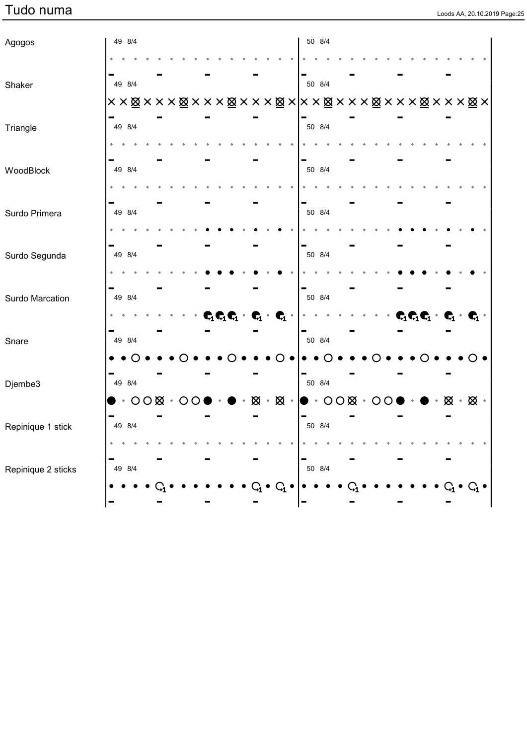| Loods AA, 20.10.2019 Page:25 |  |
|------------------------------|--|

| Agogos             | 49 8/4 |  |  |                        |  |                |  |                                                                                                                                   | 50 8/4                                                                                                             |  |  |  |                                                   |  |                                                         |  |
|--------------------|--------|--|--|------------------------|--|----------------|--|-----------------------------------------------------------------------------------------------------------------------------------|--------------------------------------------------------------------------------------------------------------------|--|--|--|---------------------------------------------------|--|---------------------------------------------------------|--|
|                    |        |  |  |                        |  |                |  |                                                                                                                                   |                                                                                                                    |  |  |  |                                                   |  |                                                         |  |
| Shaker             | 49 8/4 |  |  |                        |  |                |  |                                                                                                                                   | 50 8/4                                                                                                             |  |  |  |                                                   |  |                                                         |  |
|                    |        |  |  |                        |  |                |  |                                                                                                                                   |                                                                                                                    |  |  |  |                                                   |  |                                                         |  |
| Triangle           | 49 8/4 |  |  |                        |  |                |  |                                                                                                                                   | 50 8/4                                                                                                             |  |  |  |                                                   |  |                                                         |  |
|                    |        |  |  |                        |  |                |  |                                                                                                                                   |                                                                                                                    |  |  |  |                                                   |  |                                                         |  |
| WoodBlock          | 49 8/4 |  |  |                        |  |                |  |                                                                                                                                   | 50 8/4                                                                                                             |  |  |  |                                                   |  |                                                         |  |
|                    |        |  |  |                        |  |                |  |                                                                                                                                   |                                                                                                                    |  |  |  |                                                   |  |                                                         |  |
| Surdo Primera      | 49 8/4 |  |  |                        |  |                |  |                                                                                                                                   | 50 8/4                                                                                                             |  |  |  |                                                   |  |                                                         |  |
|                    |        |  |  |                        |  |                |  |                                                                                                                                   |                                                                                                                    |  |  |  |                                                   |  |                                                         |  |
| Surdo Segunda      | 49 8/4 |  |  |                        |  |                |  |                                                                                                                                   | 50 8/4                                                                                                             |  |  |  |                                                   |  |                                                         |  |
|                    |        |  |  |                        |  |                |  |                                                                                                                                   |                                                                                                                    |  |  |  |                                                   |  |                                                         |  |
| Surdo Marcation    | 49 8/4 |  |  |                        |  |                |  |                                                                                                                                   | 50 8/4                                                                                                             |  |  |  |                                                   |  |                                                         |  |
|                    |        |  |  |                        |  |                |  | $\begin{array}{ccccccccc} \mathbf{C}_1 & \mathbf{C}_1 & \mathbf{C}_1 & \cdots & \mathbf{C}_1 & \cdots & \mathbf{C}_1 \end{array}$ |                                                                                                                    |  |  |  | $\mathbf{C}_1\mathbf{C}_1\mathbf{C}_1$ $^{\circ}$ |  | $\mathbf{C}_1 \cdot \mathbf{C}_1 \cdot$                 |  |
| Snare              | 49 8/4 |  |  |                        |  |                |  |                                                                                                                                   | 50 8/4                                                                                                             |  |  |  |                                                   |  |                                                         |  |
|                    |        |  |  |                        |  |                |  |                                                                                                                                   |                                                                                                                    |  |  |  |                                                   |  |                                                         |  |
| Djembe3            | 49 8/4 |  |  |                        |  |                |  |                                                                                                                                   | 50 8/4                                                                                                             |  |  |  |                                                   |  |                                                         |  |
|                    |        |  |  | $\cdot$ 000 $\cdot$ 00 |  | $\blacksquare$ |  |                                                                                                                                   | $\boxtimes \cdot \boxtimes \cdot \, \vert \bullet \cdot \bigcirc \bigcirc \boxtimes \cdot \bigcirc \bigcirc \cdot$ |  |  |  |                                                   |  | $\bullet\bullet\bullet\boxtimes\bullet\boxtimes\bullet$ |  |
| Repinique 1 stick  | 49 8/4 |  |  |                        |  |                |  |                                                                                                                                   | 50 8/4                                                                                                             |  |  |  |                                                   |  |                                                         |  |
|                    |        |  |  |                        |  |                |  |                                                                                                                                   |                                                                                                                    |  |  |  |                                                   |  |                                                         |  |
| Repinique 2 sticks | 49 8/4 |  |  |                        |  |                |  |                                                                                                                                   | 50 8/4                                                                                                             |  |  |  |                                                   |  |                                                         |  |
|                    |        |  |  |                        |  |                |  |                                                                                                                                   |                                                                                                                    |  |  |  |                                                   |  |                                                         |  |
|                    |        |  |  |                        |  |                |  |                                                                                                                                   |                                                                                                                    |  |  |  |                                                   |  |                                                         |  |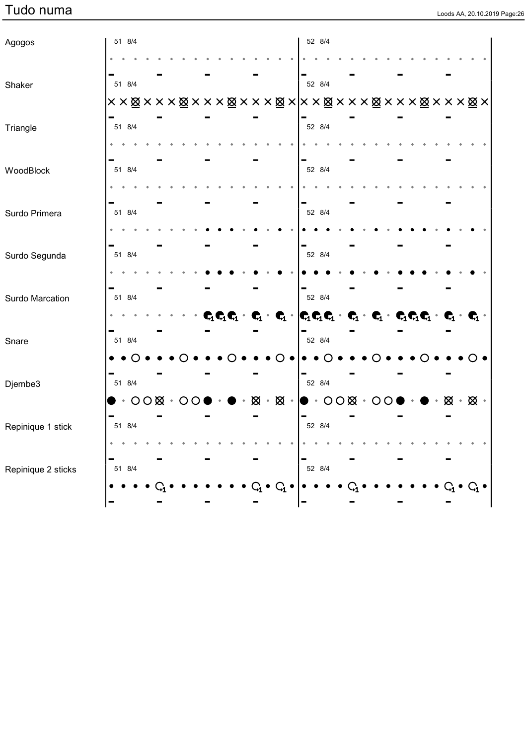|  |  | Loods AA, 20.10.2019 Page:26 |
|--|--|------------------------------|

| Agogos             | 51 8/4 |  |                        |  |  |                                                                                                                                                                                                                     | 52 8/4 |  |  |  |  |  |  |
|--------------------|--------|--|------------------------|--|--|---------------------------------------------------------------------------------------------------------------------------------------------------------------------------------------------------------------------|--------|--|--|--|--|--|--|
|                    |        |  |                        |  |  |                                                                                                                                                                                                                     |        |  |  |  |  |  |  |
| Shaker             | 51 8/4 |  |                        |  |  |                                                                                                                                                                                                                     | 52 8/4 |  |  |  |  |  |  |
|                    |        |  |                        |  |  |                                                                                                                                                                                                                     |        |  |  |  |  |  |  |
| Triangle           | 51 8/4 |  |                        |  |  |                                                                                                                                                                                                                     | 52 8/4 |  |  |  |  |  |  |
| WoodBlock          | 51 8/4 |  |                        |  |  |                                                                                                                                                                                                                     | 52 8/4 |  |  |  |  |  |  |
|                    |        |  |                        |  |  |                                                                                                                                                                                                                     |        |  |  |  |  |  |  |
| Surdo Primera      | 51 8/4 |  |                        |  |  |                                                                                                                                                                                                                     | 52 8/4 |  |  |  |  |  |  |
|                    |        |  |                        |  |  |                                                                                                                                                                                                                     |        |  |  |  |  |  |  |
| Surdo Segunda      | 51 8/4 |  |                        |  |  |                                                                                                                                                                                                                     | 52 8/4 |  |  |  |  |  |  |
|                    |        |  |                        |  |  |                                                                                                                                                                                                                     |        |  |  |  |  |  |  |
| Surdo Marcation    | 51 8/4 |  |                        |  |  |                                                                                                                                                                                                                     | 52 8/4 |  |  |  |  |  |  |
|                    |        |  |                        |  |  | $\mathbf{C}_1\mathbf{C}_1\mathbf{C}_1\cdot\mathbf{C}_1\cdot\mathbf{C}_1\cdot \mathbf{C}_1\mathbf{C}_1\mathbf{C}_1\cdot\mathbf{C}_1\cdot\mathbf{C}_1\cdot\mathbf{C}_1\mathbf{C}_1\cdot\mathbf{C}_1\cdot\mathbf{C}_1$ |        |  |  |  |  |  |  |
| Snare              | 51 8/4 |  |                        |  |  |                                                                                                                                                                                                                     | 52 8/4 |  |  |  |  |  |  |
|                    |        |  |                        |  |  |                                                                                                                                                                                                                     |        |  |  |  |  |  |  |
| Djembe3            | 51 8/4 |  |                        |  |  |                                                                                                                                                                                                                     | 52 8/4 |  |  |  |  |  |  |
|                    |        |  | $\cdot$ 000 $\cdot$ 00 |  |  | ▶ ・● ・⊠ ・⊠ ・│● ・○○⊠ ・○○● ・● ・⊠ ・⊠ ・                                                                                                                                                                                 |        |  |  |  |  |  |  |
| Repinique 1 stick  | 51 8/4 |  |                        |  |  |                                                                                                                                                                                                                     | 52 8/4 |  |  |  |  |  |  |
|                    |        |  |                        |  |  |                                                                                                                                                                                                                     |        |  |  |  |  |  |  |
| Repinique 2 sticks | 51 8/4 |  |                        |  |  |                                                                                                                                                                                                                     | 52 8/4 |  |  |  |  |  |  |
|                    |        |  |                        |  |  | $C_{1}$                                                                                                                                                                                                             |        |  |  |  |  |  |  |
|                    |        |  |                        |  |  |                                                                                                                                                                                                                     |        |  |  |  |  |  |  |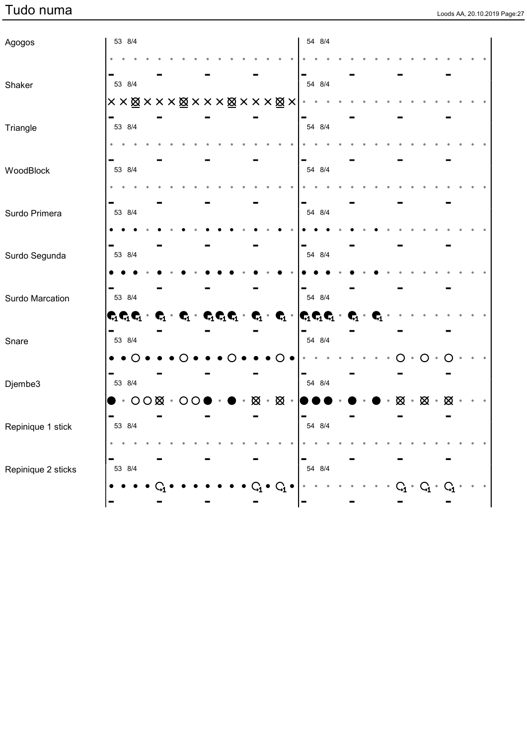|  | Loods AA, 20.10.2019 Page:27 |  |
|--|------------------------------|--|
|  |                              |  |

| Agogos             | 53 8/4 |  |                                                                                                                                                                                                                                                 |                |           |  |                         |  | 54 8/4 |  |  |                                             |           |  |  |                     |
|--------------------|--------|--|-------------------------------------------------------------------------------------------------------------------------------------------------------------------------------------------------------------------------------------------------|----------------|-----------|--|-------------------------|--|--------|--|--|---------------------------------------------|-----------|--|--|---------------------|
|                    |        |  |                                                                                                                                                                                                                                                 |                |           |  |                         |  |        |  |  |                                             |           |  |  |                     |
| Shaker             | 53 8/4 |  |                                                                                                                                                                                                                                                 |                |           |  |                         |  | 54 8/4 |  |  |                                             |           |  |  |                     |
|                    |        |  | <b>× × ⊠ × × × ⊠ × × × ⊠ × × × ⊠ ×</b>                                                                                                                                                                                                          |                |           |  |                         |  |        |  |  |                                             |           |  |  |                     |
| Triangle           | 53 8/4 |  |                                                                                                                                                                                                                                                 |                |           |  |                         |  | 54 8/4 |  |  |                                             |           |  |  |                     |
|                    |        |  |                                                                                                                                                                                                                                                 |                |           |  |                         |  |        |  |  |                                             |           |  |  |                     |
| WoodBlock          | 53 8/4 |  |                                                                                                                                                                                                                                                 |                |           |  |                         |  | 54 8/4 |  |  |                                             |           |  |  |                     |
|                    |        |  |                                                                                                                                                                                                                                                 |                |           |  |                         |  |        |  |  |                                             |           |  |  |                     |
| Surdo Primera      | 53 8/4 |  |                                                                                                                                                                                                                                                 |                |           |  |                         |  | 54 8/4 |  |  |                                             |           |  |  |                     |
|                    |        |  |                                                                                                                                                                                                                                                 |                |           |  |                         |  |        |  |  |                                             |           |  |  |                     |
| Surdo Segunda      | 53 8/4 |  |                                                                                                                                                                                                                                                 |                |           |  |                         |  | 54 8/4 |  |  |                                             |           |  |  |                     |
|                    |        |  |                                                                                                                                                                                                                                                 |                |           |  |                         |  |        |  |  |                                             |           |  |  |                     |
| Surdo Marcation    | 53 8/4 |  |                                                                                                                                                                                                                                                 |                |           |  |                         |  | 54 8/4 |  |  |                                             |           |  |  |                     |
|                    |        |  | $\mathbf{C}_1\mathbf{C}_1\mathbf{C}_1\cdot\mathbf{C}_1\cdot\mathbf{C}_1\cdot\mathbf{C}_1\mathbf{C}_1\mathbf{C}_1\cdot\mathbf{C}_1\cdot\mathbf{C}_1\cdot\mathbf{C}_1\cdot\mathbf{C}_1\mathbf{C}_1\mathbf{C}_1\cdot\mathbf{C}_1\cdot\mathbf{C}_1$ |                |           |  |                         |  |        |  |  |                                             |           |  |  |                     |
| Snare              | 53 8/4 |  |                                                                                                                                                                                                                                                 |                |           |  |                         |  | 54 8/4 |  |  |                                             |           |  |  |                     |
|                    |        |  |                                                                                                                                                                                                                                                 |                |           |  | $\Omega$                |  |        |  |  |                                             | $\bigcap$ |  |  |                     |
| Djembe3            | 53 8/4 |  |                                                                                                                                                                                                                                                 |                |           |  |                         |  | 54 8/4 |  |  |                                             |           |  |  |                     |
|                    |        |  | $\cdot$ 000 $\cdot$ 000                                                                                                                                                                                                                         | $\blacksquare$ | $\bullet$ |  | $\otimes \cdot \otimes$ |  |        |  |  | $\boxtimes \cdot \boxtimes \cdot \boxtimes$ |           |  |  |                     |
| Repinique 1 stick  | 53 8/4 |  |                                                                                                                                                                                                                                                 |                |           |  |                         |  | 54 8/4 |  |  |                                             |           |  |  |                     |
|                    |        |  |                                                                                                                                                                                                                                                 |                |           |  |                         |  |        |  |  |                                             |           |  |  |                     |
| Repinique 2 sticks | 53 8/4 |  |                                                                                                                                                                                                                                                 |                |           |  |                         |  | 54 8/4 |  |  |                                             |           |  |  |                     |
|                    |        |  |                                                                                                                                                                                                                                                 |                |           |  |                         |  |        |  |  |                                             | $C_{1}$   |  |  | $\bar{\phantom{a}}$ |
|                    |        |  |                                                                                                                                                                                                                                                 |                |           |  |                         |  |        |  |  |                                             |           |  |  |                     |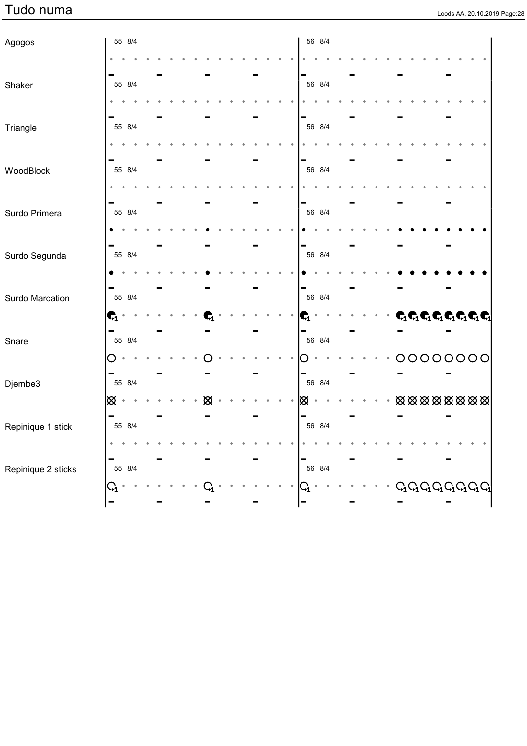| Agogos             |                         | 55 8/4 |  |  |   |  |  |  |    | 56 8/4 |  |  |  |  |                                                               |                                                                                                                               |
|--------------------|-------------------------|--------|--|--|---|--|--|--|----|--------|--|--|--|--|---------------------------------------------------------------|-------------------------------------------------------------------------------------------------------------------------------|
|                    |                         |        |  |  |   |  |  |  |    |        |  |  |  |  |                                                               |                                                                                                                               |
|                    |                         |        |  |  |   |  |  |  |    |        |  |  |  |  |                                                               |                                                                                                                               |
| Shaker             |                         | 55 8/4 |  |  |   |  |  |  |    | 56 8/4 |  |  |  |  |                                                               |                                                                                                                               |
|                    |                         |        |  |  |   |  |  |  |    |        |  |  |  |  |                                                               |                                                                                                                               |
|                    |                         | 55 8/4 |  |  |   |  |  |  |    | 56 8/4 |  |  |  |  |                                                               |                                                                                                                               |
| Triangle           |                         |        |  |  |   |  |  |  |    |        |  |  |  |  |                                                               |                                                                                                                               |
|                    |                         |        |  |  |   |  |  |  |    |        |  |  |  |  |                                                               |                                                                                                                               |
| WoodBlock          |                         | 55 8/4 |  |  |   |  |  |  |    | 56 8/4 |  |  |  |  |                                                               |                                                                                                                               |
|                    |                         |        |  |  |   |  |  |  |    |        |  |  |  |  |                                                               |                                                                                                                               |
|                    |                         |        |  |  |   |  |  |  |    |        |  |  |  |  |                                                               |                                                                                                                               |
| Surdo Primera      |                         | 55 8/4 |  |  |   |  |  |  |    | 56 8/4 |  |  |  |  |                                                               |                                                                                                                               |
|                    |                         |        |  |  |   |  |  |  |    |        |  |  |  |  |                                                               |                                                                                                                               |
|                    |                         |        |  |  |   |  |  |  |    |        |  |  |  |  |                                                               |                                                                                                                               |
| Surdo Segunda      |                         | 55 8/4 |  |  |   |  |  |  |    | 56 8/4 |  |  |  |  |                                                               |                                                                                                                               |
|                    |                         |        |  |  |   |  |  |  |    |        |  |  |  |  |                                                               |                                                                                                                               |
|                    |                         |        |  |  |   |  |  |  |    |        |  |  |  |  |                                                               |                                                                                                                               |
| Surdo Marcation    |                         | 55 8/4 |  |  |   |  |  |  |    | 56 8/4 |  |  |  |  |                                                               |                                                                                                                               |
|                    | $\mathbf{G}_1$<br>٠     |        |  |  |   |  |  |  | ٦, |        |  |  |  |  |                                                               | $\mathbf{C}_1\mathbf{C}_1\mathbf{C}_1\mathbf{C}_1\mathbf{C}_1\mathbf{C}_1\mathbf{C}_1$                                        |
|                    | -                       |        |  |  |   |  |  |  | Ξ  |        |  |  |  |  |                                                               |                                                                                                                               |
| Snare              |                         | 55 8/4 |  |  |   |  |  |  |    | 56 8/4 |  |  |  |  |                                                               |                                                                                                                               |
|                    | O                       |        |  |  |   |  |  |  |    |        |  |  |  |  | 00000000                                                      |                                                                                                                               |
| Djembe3            |                         | 55 8/4 |  |  |   |  |  |  |    | 56 8/4 |  |  |  |  |                                                               |                                                                                                                               |
|                    | $\bullet$               |        |  |  | ∞ |  |  |  | ⊠  |        |  |  |  |  | $\boxtimes \boxtimes \boxtimes \boxtimes \boxtimes \boxtimes$ |                                                                                                                               |
|                    | Ø                       |        |  |  |   |  |  |  |    |        |  |  |  |  |                                                               |                                                                                                                               |
| Repinique 1 stick  |                         | 55 8/4 |  |  |   |  |  |  |    | 56 8/4 |  |  |  |  |                                                               |                                                                                                                               |
|                    |                         |        |  |  |   |  |  |  |    |        |  |  |  |  |                                                               |                                                                                                                               |
|                    |                         |        |  |  |   |  |  |  |    |        |  |  |  |  |                                                               |                                                                                                                               |
| Repinique 2 sticks |                         | 55 8/4 |  |  |   |  |  |  |    | 56 8/4 |  |  |  |  |                                                               |                                                                                                                               |
|                    | $\mathsf{C}_\mathbf{i}$ |        |  |  |   |  |  |  |    |        |  |  |  |  |                                                               | $\begin{array}{ccc} & \textrm{G}_1 \textrm{G}_1 \textrm{G}_1 \textrm{G}_1 \textrm{G}_1 \textrm{G}_1 \textrm{G}_1 \end{array}$ |
|                    |                         |        |  |  |   |  |  |  |    |        |  |  |  |  |                                                               |                                                                                                                               |